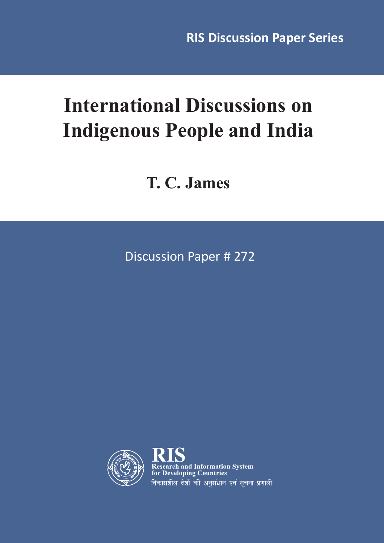# **International Discussions on Indigenous People and India**

**T. C. James**

Discussion Paper # 272



and Information System for Developing Countries विकासशील देशों की अनसंधान एवं सचना प्रणाली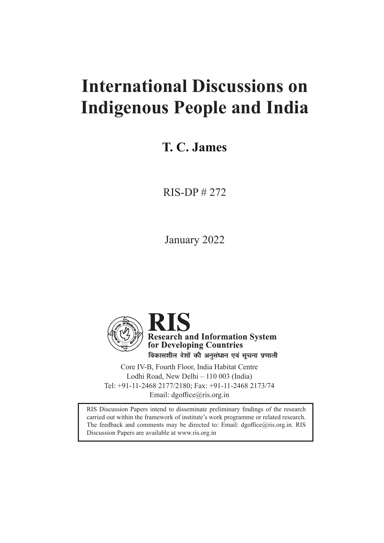## **International Discussions on Indigenous People and India**

#### **T. C. James**

RIS-DP # 272

January 2022



Core IV-B, Fourth Floor, India Habitat Centre Lodhi Road, New Delhi – 110 003 (India) Tel: +91-11-2468 2177/2180; Fax: +91-11-2468 2173/74 Email: dgoffice@ris.org.in

RIS Discussion Papers intend to disseminate preliminary findings of the research carried out within the framework of institute's work programme or related research. The feedback and comments may be directed to: Email: dgoffice@ris.org.in. RIS Discussion Papers are available at www.ris.org.in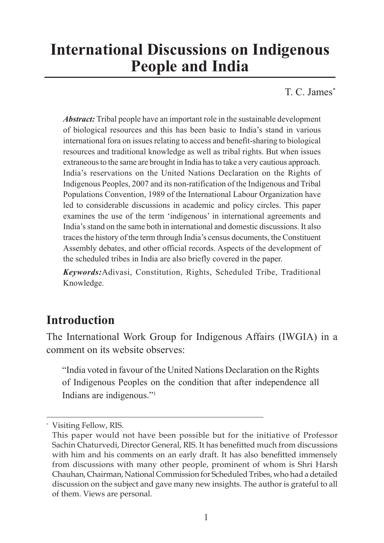## **International Discussions on Indigenous People and India**

T. C. James<sup>\*</sup>

*Abstract:* Tribal people have an important role in the sustainable development of biological resources and this has been basic to India's stand in various international fora on issues relating to access and benefit-sharing to biological resources and traditional knowledge as well as tribal rights. But when issues extraneous to the same are brought in India has to take a very cautious approach. India's reservations on the United Nations Declaration on the Rights of Indigenous Peoples, 2007 and its non-ratification of the Indigenous and Tribal Populations Convention, 1989 of the International Labour Organization have led to considerable discussions in academic and policy circles. This paper examines the use of the term 'indigenous' in international agreements and India's stand on the same both in international and domestic discussions. It also traces the history of the term through India's census documents, the Constituent Assembly debates, and other official records. Aspects of the development of the scheduled tribes in India are also briefly covered in the paper.

*Keywords:*Adivasi, Constitution, Rights, Scheduled Tribe, Traditional Knowledge.

#### **Introduction**

The International Work Group for Indigenous Affairs (IWGIA) in a comment on its website observes:

"India voted in favour of the United Nations Declaration on the Rights of Indigenous Peoples on the condition that after independence all Indians are indigenous."1

<sup>\*</sup> Visiting Fellow, RIS.

This paper would not have been possible but for the initiative of Professor Sachin Chaturvedi, Director General, RIS. It has benefitted much from discussions with him and his comments on an early draft. It has also benefitted immensely from discussions with many other people, prominent of whom is Shri Harsh Chauhan, Chairman, National Commission for Scheduled Tribes, who had a detailed discussion on the subject and gave many new insights. The author is grateful to all of them. Views are personal.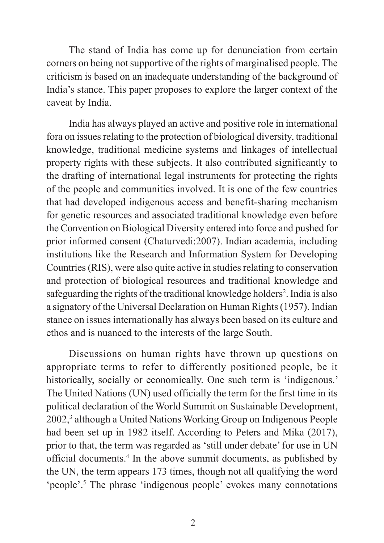The stand of India has come up for denunciation from certain corners on being not supportive of the rights of marginalised people. The criticism is based on an inadequate understanding of the background of India's stance. This paper proposes to explore the larger context of the caveat by India.

India has always played an active and positive role in international fora on issues relating to the protection of biological diversity, traditional knowledge, traditional medicine systems and linkages of intellectual property rights with these subjects. It also contributed significantly to the drafting of international legal instruments for protecting the rights of the people and communities involved. It is one of the few countries that had developed indigenous access and benefit-sharing mechanism for genetic resources and associated traditional knowledge even before the Convention on Biological Diversity entered into force and pushed for prior informed consent (Chaturvedi:2007). Indian academia, including institutions like the Research and Information System for Developing Countries (RIS), were also quite active in studies relating to conservation and protection of biological resources and traditional knowledge and safeguarding the rights of the traditional knowledge holders<sup>2</sup>. India is also a signatory of the Universal Declaration on Human Rights (1957). Indian stance on issues internationally has always been based on its culture and ethos and is nuanced to the interests of the large South.

Discussions on human rights have thrown up questions on appropriate terms to refer to differently positioned people, be it historically, socially or economically. One such term is 'indigenous.' The United Nations (UN) used officially the term for the first time in its political declaration of the World Summit on Sustainable Development, 2002,3 although a United Nations Working Group on Indigenous People had been set up in 1982 itself. According to Peters and Mika (2017), prior to that, the term was regarded as 'still under debate' for use in UN official documents.<sup>4</sup> In the above summit documents, as published by the UN, the term appears 173 times, though not all qualifying the word 'people'.<sup>5</sup> The phrase 'indigenous people' evokes many connotations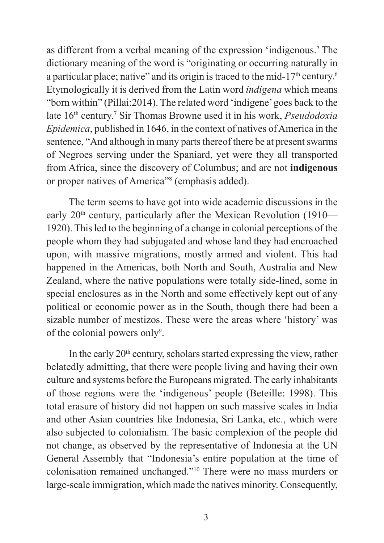as different from a verbal meaning of the expression 'indigenous.' The dictionary meaning of the word is "originating or occurring naturally in a particular place; native" and its origin is traced to the mid-17<sup>th</sup> century.<sup>6</sup> Etymologically it is derived from the Latin word *indigena* which means "born within" (Pillai:2014). The related word 'indigene' goes back to the late 16th century.<sup>7</sup> Sir Thomas Browne used it in his work, *Pseudodoxia Epidemica*, published in 1646, in the context of natives of America in the sentence, "And although in many parts thereof there be at present swarms of Negroes serving under the Spaniard, yet were they all transported from Africa, since the discovery of Columbus; and are not **indigenous** or proper natives of America" (emphasis added).

The term seems to have got into wide academic discussions in the early 20<sup>th</sup> century, particularly after the Mexican Revolution (1910— 1920). This led to the beginning of a change in colonial perceptions of the people whom they had subjugated and whose land they had encroached upon, with massive migrations, mostly armed and violent. This had happened in the Americas, both North and South, Australia and New Zealand, where the native populations were totally side-lined, some in special enclosures as in the North and some effectively kept out of any political or economic power as in the South, though there had been a sizable number of mestizos. These were the areas where 'history' was of the colonial powers only<sup>9</sup>.

In the early  $20<sup>th</sup>$  century, scholars started expressing the view, rather belatedly admitting, that there were people living and having their own culture and systems before the Europeans migrated. The early inhabitants of those regions were the 'indigenous' people (Beteille: 1998). This total erasure of history did not happen on such massive scales in India and other Asian countries like Indonesia, Sri Lanka, etc., which were also subjected to colonialism. The basic complexion of the people did not change, as observed by the representative of Indonesia at the UN General Assembly that "Indonesia's entire population at the time of colonisation remained unchanged."<sup>10</sup> There were no mass murders or large-scale immigration, which made the natives minority. Consequently,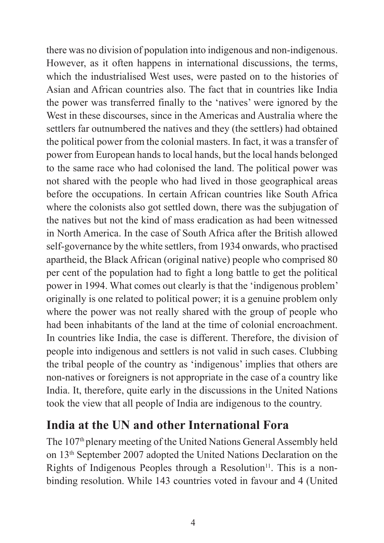there was no division of population into indigenous and non-indigenous. However, as it often happens in international discussions, the terms, which the industrialised West uses, were pasted on to the histories of Asian and African countries also. The fact that in countries like India the power was transferred finally to the 'natives' were ignored by the West in these discourses, since in the Americas and Australia where the settlers far outnumbered the natives and they (the settlers) had obtained the political power from the colonial masters. In fact, it was a transfer of power from European hands to local hands, but the local hands belonged to the same race who had colonised the land. The political power was not shared with the people who had lived in those geographical areas before the occupations. In certain African countries like South Africa where the colonists also got settled down, there was the subjugation of the natives but not the kind of mass eradication as had been witnessed in North America. In the case of South Africa after the British allowed self-governance by the white settlers, from 1934 onwards, who practised apartheid, the Black African (original native) people who comprised 80 per cent of the population had to fight a long battle to get the political power in 1994. What comes out clearly is that the 'indigenous problem' originally is one related to political power; it is a genuine problem only where the power was not really shared with the group of people who had been inhabitants of the land at the time of colonial encroachment. In countries like India, the case is different. Therefore, the division of people into indigenous and settlers is not valid in such cases. Clubbing the tribal people of the country as 'indigenous' implies that others are non-natives or foreigners is not appropriate in the case of a country like India. It, therefore, quite early in the discussions in the United Nations took the view that all people of India are indigenous to the country.

#### **India at the UN and other International Fora**

The 107<sup>th</sup> plenary meeting of the United Nations General Assembly held on 13th September 2007 adopted the United Nations Declaration on the Rights of Indigenous Peoples through a Resolution<sup>11</sup>. This is a nonbinding resolution. While 143 countries voted in favour and 4 (United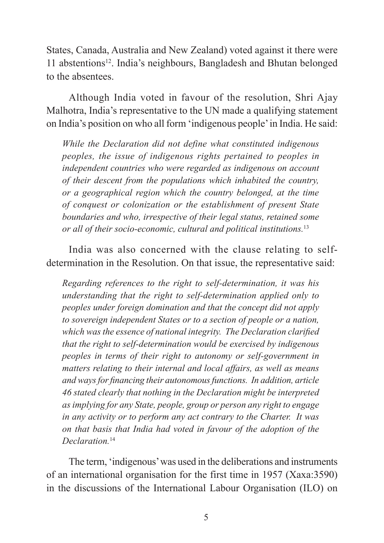States, Canada, Australia and New Zealand) voted against it there were 11 abstentions<sup>12</sup>. India's neighbours, Bangladesh and Bhutan belonged to the absentees.

Although India voted in favour of the resolution, Shri Ajay Malhotra, India's representative to the UN made a qualifying statement on India's position on who all form 'indigenous people' in India. He said:

*While the Declaration did not define what constituted indigenous peoples, the issue of indigenous rights pertained to peoples in independent countries who were regarded as indigenous on account of their descent from the populations which inhabited the country, or a geographical region which the country belonged, at the time of conquest or colonization or the establishment of present State boundaries and who, irrespective of their legal status, retained some or all of their socio-economic, cultural and political institutions.*<sup>13</sup>

India was also concerned with the clause relating to selfdetermination in the Resolution. On that issue, the representative said:

*Regarding references to the right to self-determination, it was his understanding that the right to self-determination applied only to peoples under foreign domination and that the concept did not apply to sovereign independent States or to a section of people or a nation, which was the essence of national integrity. The Declaration clarified that the right to self-determination would be exercised by indigenous peoples in terms of their right to autonomy or self-government in matters relating to their internal and local affairs, as well as means and ways for financing their autonomous functions. In addition, article 46 stated clearly that nothing in the Declaration might be interpreted as implying for any State, people, group or person any right to engage in any activity or to perform any act contrary to the Charter. It was on that basis that India had voted in favour of the adoption of the Declaration.*<sup>14</sup>

The term, 'indigenous' was used in the deliberations and instruments of an international organisation for the first time in 1957 (Xaxa:3590) in the discussions of the International Labour Organisation (ILO) on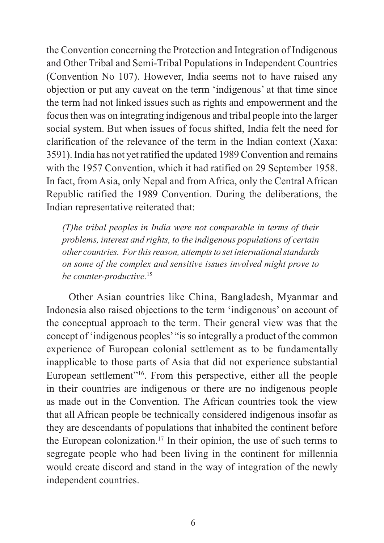the Convention concerning the Protection and Integration of Indigenous and Other Tribal and Semi-Tribal Populations in Independent Countries (Convention No 107). However, India seems not to have raised any objection or put any caveat on the term 'indigenous' at that time since the term had not linked issues such as rights and empowerment and the focus then was on integrating indigenous and tribal people into the larger social system. But when issues of focus shifted, India felt the need for clarification of the relevance of the term in the Indian context (Xaxa: 3591). India has not yet ratified the updated 1989 Convention and remains with the 1957 Convention, which it had ratified on 29 September 1958. In fact, from Asia, only Nepal and from Africa, only the Central African Republic ratified the 1989 Convention. During the deliberations, the Indian representative reiterated that:

*(T)he tribal peoples in India were not comparable in terms of their problems, interest and rights, to the indigenous populations of certain other countries. For this reason, attempts to set international standards on some of the complex and sensitive issues involved might prove to be counter-productive.*<sup>15</sup>

Other Asian countries like China, Bangladesh, Myanmar and Indonesia also raised objections to the term 'indigenous' on account of the conceptual approach to the term. Their general view was that the concept of 'indigenous peoples' "is so integrally a product of the common experience of European colonial settlement as to be fundamentally inapplicable to those parts of Asia that did not experience substantial European settlement<sup>"16</sup>. From this perspective, either all the people in their countries are indigenous or there are no indigenous people as made out in the Convention. The African countries took the view that all African people be technically considered indigenous insofar as they are descendants of populations that inhabited the continent before the European colonization.<sup>17</sup> In their opinion, the use of such terms to segregate people who had been living in the continent for millennia would create discord and stand in the way of integration of the newly independent countries.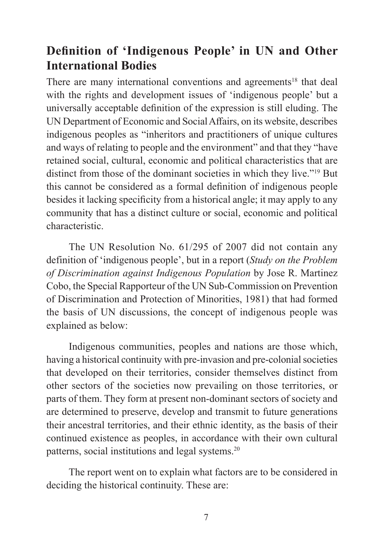#### **Definition of 'Indigenous People' in UN and Other International Bodies**

There are many international conventions and agreements<sup>18</sup> that deal with the rights and development issues of 'indigenous people' but a universally acceptable definition of the expression is still eluding. The UN Department of Economic and Social Affairs, on its website, describes indigenous peoples as "inheritors and practitioners of unique cultures and ways of relating to people and the environment" and that they "have retained social, cultural, economic and political characteristics that are distinct from those of the dominant societies in which they live."19 But this cannot be considered as a formal definition of indigenous people besides it lacking specificity from a historical angle; it may apply to any community that has a distinct culture or social, economic and political characteristic.

The UN Resolution No. 61/295 of 2007 did not contain any definition of 'indigenous people', but in a report (*Study on the Problem of Discrimination against Indigenous Population* by Jose R. Martinez Cobo, the Special Rapporteur of the UN Sub-Commission on Prevention of Discrimination and Protection of Minorities, 1981) that had formed the basis of UN discussions, the concept of indigenous people was explained as below:

Indigenous communities, peoples and nations are those which, having a historical continuity with pre-invasion and pre-colonial societies that developed on their territories, consider themselves distinct from other sectors of the societies now prevailing on those territories, or parts of them. They form at present non-dominant sectors of society and are determined to preserve, develop and transmit to future generations their ancestral territories, and their ethnic identity, as the basis of their continued existence as peoples, in accordance with their own cultural patterns, social institutions and legal systems.<sup>20</sup>

The report went on to explain what factors are to be considered in deciding the historical continuity. These are: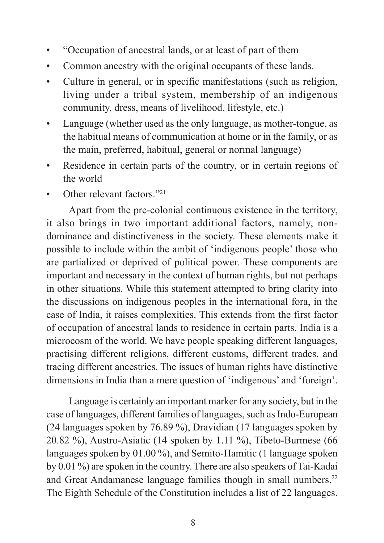- "Occupation of ancestral lands, or at least of part of them
- Common ancestry with the original occupants of these lands.
- Culture in general, or in specific manifestations (such as religion, living under a tribal system, membership of an indigenous community, dress, means of livelihood, lifestyle, etc.)
- Language (whether used as the only language, as mother-tongue, as the habitual means of communication at home or in the family, or as the main, preferred, habitual, general or normal language)
- Residence in certain parts of the country, or in certain regions of the world
- Other relevant factors."<sup>21</sup>

Apart from the pre-colonial continuous existence in the territory, it also brings in two important additional factors, namely, nondominance and distinctiveness in the society. These elements make it possible to include within the ambit of 'indigenous people' those who are partialized or deprived of political power. These components are important and necessary in the context of human rights, but not perhaps in other situations. While this statement attempted to bring clarity into the discussions on indigenous peoples in the international fora, in the case of India, it raises complexities. This extends from the first factor of occupation of ancestral lands to residence in certain parts. India is a microcosm of the world. We have people speaking different languages, practising different religions, different customs, different trades, and tracing different ancestries. The issues of human rights have distinctive dimensions in India than a mere question of 'indigenous' and 'foreign'.

Language is certainly an important marker for any society, but in the case of languages, different families of languages, such as Indo-European (24 languages spoken by 76.89 %), Dravidian (17 languages spoken by 20.82 %), Austro-Asiatic (14 spoken by 1.11 %), Tibeto-Burmese (66 languages spoken by 01.00 %), and Semito-Hamitic (1 language spoken by 0.01 %) are spoken in the country. There are also speakers of Tai-Kadai and Great Andamanese language families though in small numbers.<sup>22</sup> The Eighth Schedule of the Constitution includes a list of 22 languages.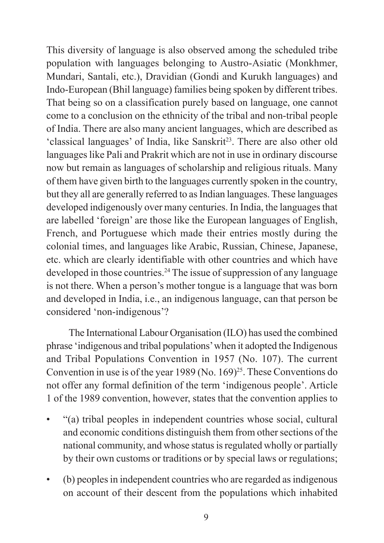This diversity of language is also observed among the scheduled tribe population with languages belonging to Austro-Asiatic (Monkhmer, Mundari, Santali, etc.), Dravidian (Gondi and Kurukh languages) and Indo-European (Bhil language) families being spoken by different tribes. That being so on a classification purely based on language, one cannot come to a conclusion on the ethnicity of the tribal and non-tribal people of India. There are also many ancient languages, which are described as 'classical languages' of India, like Sanskrit<sup>23</sup>. There are also other old languages like Pali and Prakrit which are not in use in ordinary discourse now but remain as languages of scholarship and religious rituals. Many of them have given birth to the languages currently spoken in the country, but they all are generally referred to as Indian languages. These languages developed indigenously over many centuries. In India, the languages that are labelled 'foreign' are those like the European languages of English, French, and Portuguese which made their entries mostly during the colonial times, and languages like Arabic, Russian, Chinese, Japanese, etc. which are clearly identifiable with other countries and which have developed in those countries.<sup>24</sup> The issue of suppression of any language is not there. When a person's mother tongue is a language that was born and developed in India, i.e., an indigenous language, can that person be considered 'non-indigenous'?

The International Labour Organisation (ILO) has used the combined phrase 'indigenous and tribal populations' when it adopted the Indigenous and Tribal Populations Convention in 1957 (No. 107). The current Convention in use is of the year 1989 (No. 169)<sup>25</sup>. These Conventions do not offer any formal definition of the term 'indigenous people'. Article 1 of the 1989 convention, however, states that the convention applies to

- "(a) tribal peoples in independent countries whose social, cultural and economic conditions distinguish them from other sections of the national community, and whose status is regulated wholly or partially by their own customs or traditions or by special laws or regulations;
- (b) peoples in independent countries who are regarded as indigenous on account of their descent from the populations which inhabited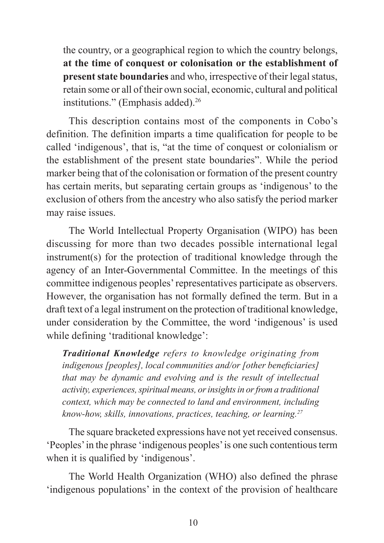the country, or a geographical region to which the country belongs, **at the time of conquest or colonisation or the establishment of present state boundaries** and who, irrespective of their legal status, retain some or all of their own social, economic, cultural and political institutions." (Emphasis added).<sup>26</sup>

This description contains most of the components in Cobo's definition. The definition imparts a time qualification for people to be called 'indigenous', that is, "at the time of conquest or colonialism or the establishment of the present state boundaries". While the period marker being that of the colonisation or formation of the present country has certain merits, but separating certain groups as 'indigenous' to the exclusion of others from the ancestry who also satisfy the period marker may raise issues.

The World Intellectual Property Organisation (WIPO) has been discussing for more than two decades possible international legal instrument(s) for the protection of traditional knowledge through the agency of an Inter-Governmental Committee. In the meetings of this committee indigenous peoples' representatives participate as observers. However, the organisation has not formally defined the term. But in a draft text of a legal instrument on the protection of traditional knowledge, under consideration by the Committee, the word 'indigenous' is used while defining 'traditional knowledge':

*Traditional Knowledge refers to knowledge originating from indigenous [peoples], local communities and/or [other beneficiaries] that may be dynamic and evolving and is the result of intellectual activity, experiences, spiritual means, or insights in or from a traditional context, which may be connected to land and environment, including know-how, skills, innovations, practices, teaching, or learning.27*

The square bracketed expressions have not yet received consensus. 'Peoples' in the phrase 'indigenous peoples' is one such contentious term when it is qualified by 'indigenous'.

The World Health Organization (WHO) also defined the phrase 'indigenous populations' in the context of the provision of healthcare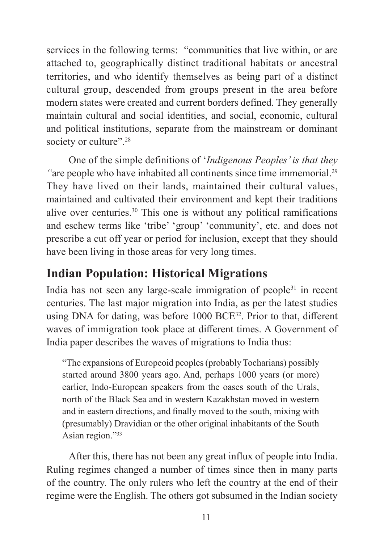services in the following terms: "communities that live within, or are attached to, geographically distinct traditional habitats or ancestral territories, and who identify themselves as being part of a distinct cultural group, descended from groups present in the area before modern states were created and current borders defined. They generally maintain cultural and social identities, and social, economic, cultural and political institutions, separate from the mainstream or dominant society or culture".<sup>28</sup>

One of the simple definitions of '*Indigenous Peoples' is that they*  "are people who have inhabited all continents since time immemorial.<sup>29</sup> They have lived on their lands, maintained their cultural values, maintained and cultivated their environment and kept their traditions alive over centuries.<sup>30</sup> This one is without any political ramifications and eschew terms like 'tribe' 'group' 'community', etc. and does not prescribe a cut off year or period for inclusion, except that they should have been living in those areas for very long times.

#### **Indian Population: Historical Migrations**

India has not seen any large-scale immigration of people<sup>31</sup> in recent centuries. The last major migration into India, as per the latest studies using DNA for dating, was before 1000 BCE<sup>32</sup>. Prior to that, different waves of immigration took place at different times. A Government of India paper describes the waves of migrations to India thus:

"The expansions of Europeoid peoples (probably Tocharians) possibly started around 3800 years ago. And, perhaps 1000 years (or more) earlier, Indo-European speakers from the oases south of the Urals, north of the Black Sea and in western Kazakhstan moved in western and in eastern directions, and finally moved to the south, mixing with (presumably) Dravidian or the other original inhabitants of the South Asian region."<sup>33</sup>

After this, there has not been any great influx of people into India. Ruling regimes changed a number of times since then in many parts of the country. The only rulers who left the country at the end of their regime were the English. The others got subsumed in the Indian society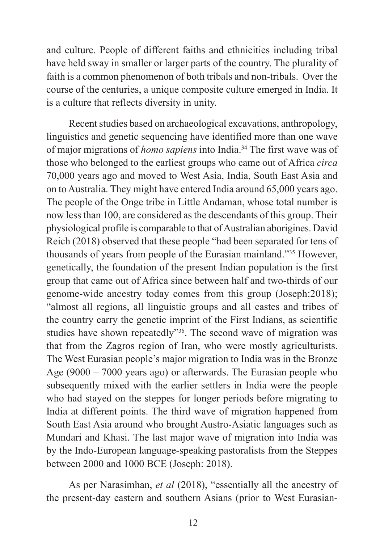and culture. People of different faiths and ethnicities including tribal have held sway in smaller or larger parts of the country. The plurality of faith is a common phenomenon of both tribals and non-tribals. Over the course of the centuries, a unique composite culture emerged in India. It is a culture that reflects diversity in unity.

Recent studies based on archaeological excavations, anthropology, linguistics and genetic sequencing have identified more than one wave of major migrations of *homo sapiens* into India.<sup>34</sup> The first wave was of those who belonged to the earliest groups who came out of Africa *circa* 70,000 years ago and moved to West Asia, India, South East Asia and on to Australia. They might have entered India around 65,000 years ago. The people of the Onge tribe in Little Andaman, whose total number is now less than 100, are considered as the descendants of this group. Their physiological profile is comparable to that of Australian aborigines. David Reich (2018) observed that these people "had been separated for tens of thousands of years from people of the Eurasian mainland."35 However, genetically, the foundation of the present Indian population is the first group that came out of Africa since between half and two-thirds of our genome-wide ancestry today comes from this group (Joseph:2018); "almost all regions, all linguistic groups and all castes and tribes of the country carry the genetic imprint of the First Indians, as scientific studies have shown repeatedly"<sup>36</sup>. The second wave of migration was that from the Zagros region of Iran, who were mostly agriculturists. The West Eurasian people's major migration to India was in the Bronze Age (9000 – 7000 years ago) or afterwards. The Eurasian people who subsequently mixed with the earlier settlers in India were the people who had stayed on the steppes for longer periods before migrating to India at different points. The third wave of migration happened from South East Asia around who brought Austro-Asiatic languages such as Mundari and Khasi. The last major wave of migration into India was by the Indo-European language-speaking pastoralists from the Steppes between 2000 and 1000 BCE (Joseph: 2018).

As per Narasimhan, *et al* (2018), "essentially all the ancestry of the present-day eastern and southern Asians (prior to West Eurasian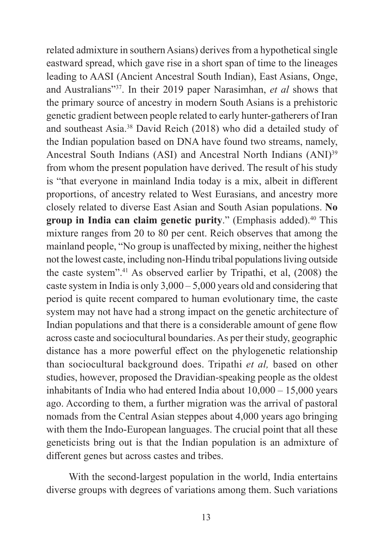related admixture in southern Asians) derives from a hypothetical single eastward spread, which gave rise in a short span of time to the lineages leading to AASI (Ancient Ancestral South Indian), East Asians, Onge, and Australians"<sup>37</sup>. In their 2019 paper Narasimhan, *et al* shows that the primary source of ancestry in modern South Asians is a prehistoric genetic gradient between people related to early hunter-gatherers of Iran and southeast Asia.<sup>38</sup> David Reich (2018) who did a detailed study of the Indian population based on DNA have found two streams, namely, Ancestral South Indians (ASI) and Ancestral North Indians (ANI)<sup>39</sup> from whom the present population have derived. The result of his study is "that everyone in mainland India today is a mix, albeit in different proportions, of ancestry related to West Eurasians, and ancestry more closely related to diverse East Asian and South Asian populations. **No**  group in India can claim genetic purity." (Emphasis added).<sup>40</sup> This mixture ranges from 20 to 80 per cent. Reich observes that among the mainland people, "No group is unaffected by mixing, neither the highest not the lowest caste, including non-Hindu tribal populations living outside the caste system".<sup>41</sup> As observed earlier by Tripathi, et al, (2008) the caste system in India is only 3,000 – 5,000 years old and considering that period is quite recent compared to human evolutionary time, the caste system may not have had a strong impact on the genetic architecture of Indian populations and that there is a considerable amount of gene flow across caste and sociocultural boundaries. As per their study, geographic distance has a more powerful effect on the phylogenetic relationship than sociocultural background does. Tripathi *et al,* based on other studies, however, proposed the Dravidian-speaking people as the oldest inhabitants of India who had entered India about 10,000 – 15,000 years ago. According to them, a further migration was the arrival of pastoral nomads from the Central Asian steppes about 4,000 years ago bringing with them the Indo-European languages. The crucial point that all these geneticists bring out is that the Indian population is an admixture of different genes but across castes and tribes.

With the second-largest population in the world, India entertains diverse groups with degrees of variations among them. Such variations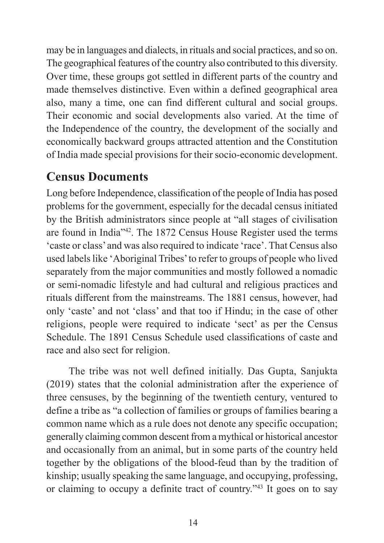may be in languages and dialects, in rituals and social practices, and so on. The geographical features of the country also contributed to this diversity. Over time, these groups got settled in different parts of the country and made themselves distinctive. Even within a defined geographical area also, many a time, one can find different cultural and social groups. Their economic and social developments also varied. At the time of the Independence of the country, the development of the socially and economically backward groups attracted attention and the Constitution of India made special provisions for their socio-economic development.

#### **Census Documents**

Long before Independence, classification of the people of India has posed problems for the government, especially for the decadal census initiated by the British administrators since people at "all stages of civilisation are found in India"<sup>42</sup>. The 1872 Census House Register used the terms 'caste or class' and was also required to indicate 'race'. That Census also used labels like 'Aboriginal Tribes' to refer to groups of people who lived separately from the major communities and mostly followed a nomadic or semi-nomadic lifestyle and had cultural and religious practices and rituals different from the mainstreams. The 1881 census, however, had only 'caste' and not 'class' and that too if Hindu; in the case of other religions, people were required to indicate 'sect' as per the Census Schedule. The 1891 Census Schedule used classifications of caste and race and also sect for religion.

The tribe was not well defined initially. Das Gupta, Sanjukta (2019) states that the colonial administration after the experience of three censuses, by the beginning of the twentieth century, ventured to define a tribe as "a collection of families or groups of families bearing a common name which as a rule does not denote any specific occupation; generally claiming common descent from a mythical or historical ancestor and occasionally from an animal, but in some parts of the country held together by the obligations of the blood-feud than by the tradition of kinship; usually speaking the same language, and occupying, professing, or claiming to occupy a definite tract of country."43 It goes on to say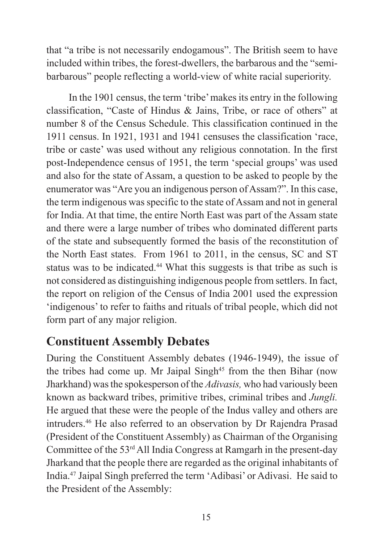that "a tribe is not necessarily endogamous". The British seem to have included within tribes, the forest-dwellers, the barbarous and the "semibarbarous" people reflecting a world-view of white racial superiority.

In the 1901 census, the term 'tribe' makes its entry in the following classification, "Caste of Hindus & Jains, Tribe, or race of others" at number 8 of the Census Schedule. This classification continued in the 1911 census. In 1921, 1931 and 1941 censuses the classification 'race, tribe or caste' was used without any religious connotation. In the first post-Independence census of 1951, the term 'special groups' was used and also for the state of Assam, a question to be asked to people by the enumerator was "Are you an indigenous person of Assam?". In this case, the term indigenous was specific to the state of Assam and not in general for India. At that time, the entire North East was part of the Assam state and there were a large number of tribes who dominated different parts of the state and subsequently formed the basis of the reconstitution of the North East states. From 1961 to 2011, in the census, SC and ST status was to be indicated.<sup>44</sup> What this suggests is that tribe as such is not considered as distinguishing indigenous people from settlers. In fact, the report on religion of the Census of India 2001 used the expression 'indigenous' to refer to faiths and rituals of tribal people, which did not form part of any major religion.

#### **Constituent Assembly Debates**

During the Constituent Assembly debates (1946-1949), the issue of the tribes had come up. Mr Jaipal Singh<sup>45</sup> from the then Bihar (now Jharkhand) was the spokesperson of the *Adivasis,* who had variously been known as backward tribes, primitive tribes, criminal tribes and *Jungli.*  He argued that these were the people of the Indus valley and others are intruders.<sup>46</sup> He also referred to an observation by Dr Rajendra Prasad (President of the Constituent Assembly) as Chairman of the Organising Committee of the  $53<sup>rd</sup>$  All India Congress at Ramgarh in the present-day Jharkand that the people there are regarded as the original inhabitants of India.<sup>47</sup> Jaipal Singh preferred the term 'Adibasi' or Adivasi. He said to the President of the Assembly: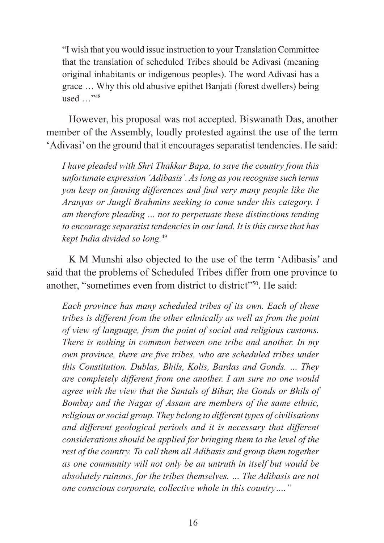"I wish that you would issue instruction to your Translation Committee that the translation of scheduled Tribes should be Adivasi (meaning original inhabitants or indigenous peoples). The word Adivasi has a grace … Why this old abusive epithet Banjati (forest dwellers) being used …"<sup>48</sup>

However, his proposal was not accepted. Biswanath Das, another member of the Assembly, loudly protested against the use of the term 'Adivasi' on the ground that it encourages separatist tendencies. He said:

*I have pleaded with Shri Thakkar Bapa, to save the country from this unfortunate expression 'Adibasis'. As long as you recognise such terms you keep on fanning differences and find very many people like the Aranyas or Jungli Brahmins seeking to come under this category. I am therefore pleading … not to perpetuate these distinctions tending to encourage separatist tendencies in our land. It is this curse that has kept India divided so long.*<sup>49</sup>

K M Munshi also objected to the use of the term 'Adibasis' and said that the problems of Scheduled Tribes differ from one province to another, "sometimes even from district to district"<sup>550</sup>. He said:

*Each province has many scheduled tribes of its own. Each of these tribes is different from the other ethnically as well as from the point of view of language, from the point of social and religious customs. There is nothing in common between one tribe and another. In my own province, there are five tribes, who are scheduled tribes under this Constitution. Dublas, Bhils, Kolis, Bardas and Gonds. … They are completely different from one another. I am sure no one would agree with the view that the Santals of Bihar, the Gonds or Bhils of Bombay and the Nagas of Assam are members of the same ethnic, religious or social group. They belong to different types of civilisations and different geological periods and it is necessary that different considerations should be applied for bringing them to the level of the rest of the country. To call them all Adibasis and group them together as one community will not only be an untruth in itself but would be absolutely ruinous, for the tribes themselves. … The Adibasis are not one conscious corporate, collective whole in this country…."*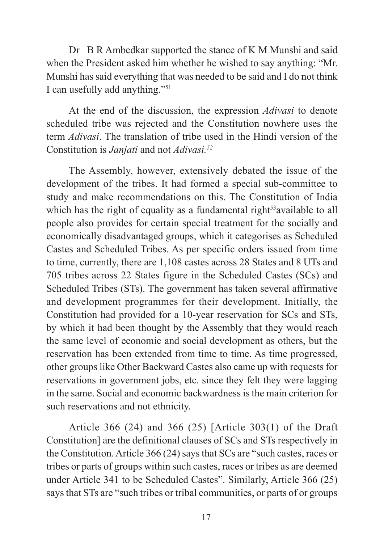Dr B R Ambedkar supported the stance of K M Munshi and said when the President asked him whether he wished to say anything: "Mr. Munshi has said everything that was needed to be said and I do not think I can usefully add anything."51

At the end of the discussion, the expression *Adivasi* to denote scheduled tribe was rejected and the Constitution nowhere uses the term *Adivasi*. The translation of tribe used in the Hindi version of the Constitution is *Janjati* and not *Adivasi.52*

The Assembly, however, extensively debated the issue of the development of the tribes. It had formed a special sub-committee to study and make recommendations on this. The Constitution of India which has the right of equality as a fundamental right<sup>53</sup>available to all people also provides for certain special treatment for the socially and economically disadvantaged groups, which it categorises as Scheduled Castes and Scheduled Tribes. As per specific orders issued from time to time, currently, there are 1,108 castes across 28 States and 8 UTs and 705 tribes across 22 States figure in the Scheduled Castes (SCs) and Scheduled Tribes (STs). The government has taken several affirmative and development programmes for their development. Initially, the Constitution had provided for a 10-year reservation for SCs and STs, by which it had been thought by the Assembly that they would reach the same level of economic and social development as others, but the reservation has been extended from time to time. As time progressed, other groups like Other Backward Castes also came up with requests for reservations in government jobs, etc. since they felt they were lagging in the same. Social and economic backwardness is the main criterion for such reservations and not ethnicity.

Article 366 (24) and 366 (25) [Article 303(1) of the Draft Constitution] are the definitional clauses of SCs and STs respectively in the Constitution. Article 366 (24) says that SCs are "such castes, races or tribes or parts of groups within such castes, races or tribes as are deemed under Article 341 to be Scheduled Castes". Similarly, Article 366 (25) says that STs are "such tribes or tribal communities, or parts of or groups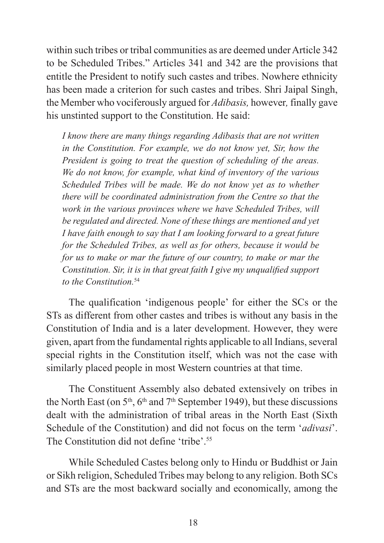within such tribes or tribal communities as are deemed under Article 342 to be Scheduled Tribes." Articles 341 and 342 are the provisions that entitle the President to notify such castes and tribes. Nowhere ethnicity has been made a criterion for such castes and tribes. Shri Jaipal Singh, the Member who vociferously argued for *Adibasis,* however*,* finally gave his unstinted support to the Constitution. He said:

*I know there are many things regarding Adibasis that are not written in the Constitution. For example, we do not know yet, Sir, how the President is going to treat the question of scheduling of the areas. We do not know, for example, what kind of inventory of the various Scheduled Tribes will be made. We do not know yet as to whether there will be coordinated administration from the Centre so that the work in the various provinces where we have Scheduled Tribes, will be regulated and directed. None of these things are mentioned and yet I have faith enough to say that I am looking forward to a great future for the Scheduled Tribes, as well as for others, because it would be for us to make or mar the future of our country, to make or mar the Constitution. Sir, it is in that great faith I give my unqualified support to the Constitution.*<sup>54</sup>

The qualification 'indigenous people' for either the SCs or the STs as different from other castes and tribes is without any basis in the Constitution of India and is a later development. However, they were given, apart from the fundamental rights applicable to all Indians, several special rights in the Constitution itself, which was not the case with similarly placed people in most Western countries at that time.

The Constituent Assembly also debated extensively on tribes in the North East (on  $5<sup>th</sup>$ ,  $6<sup>th</sup>$  and  $7<sup>th</sup>$  September 1949), but these discussions dealt with the administration of tribal areas in the North East (Sixth Schedule of the Constitution) and did not focus on the term '*adivasi*'. The Constitution did not define 'tribe'.<sup>55</sup>

While Scheduled Castes belong only to Hindu or Buddhist or Jain or Sikh religion, Scheduled Tribes may belong to any religion. Both SCs and STs are the most backward socially and economically, among the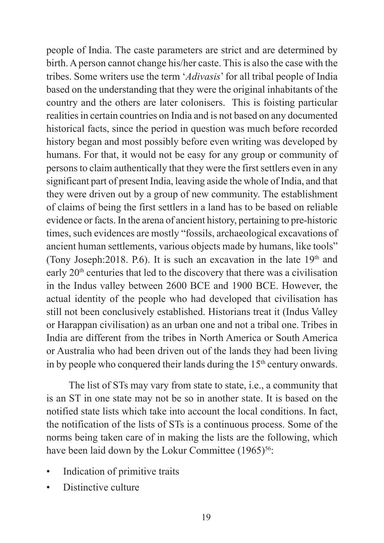people of India. The caste parameters are strict and are determined by birth. A person cannot change his/her caste. This is also the case with the tribes. Some writers use the term '*Adivasis*' for all tribal people of India based on the understanding that they were the original inhabitants of the country and the others are later colonisers. This is foisting particular realities in certain countries on India and is not based on any documented historical facts, since the period in question was much before recorded history began and most possibly before even writing was developed by humans. For that, it would not be easy for any group or community of persons to claim authentically that they were the first settlers even in any significant part of present India, leaving aside the whole of India, and that they were driven out by a group of new community. The establishment of claims of being the first settlers in a land has to be based on reliable evidence or facts. In the arena of ancient history, pertaining to pre-historic times, such evidences are mostly "fossils, archaeological excavations of ancient human settlements, various objects made by humans, like tools" (Tony Joseph: 2018. P.6). It is such an excavation in the late  $19<sup>th</sup>$  and early  $20<sup>th</sup>$  centuries that led to the discovery that there was a civilisation in the Indus valley between 2600 BCE and 1900 BCE. However, the actual identity of the people who had developed that civilisation has still not been conclusively established. Historians treat it (Indus Valley or Harappan civilisation) as an urban one and not a tribal one. Tribes in India are different from the tribes in North America or South America or Australia who had been driven out of the lands they had been living in by people who conquered their lands during the  $15<sup>th</sup>$  century onwards.

The list of STs may vary from state to state, i.e., a community that is an ST in one state may not be so in another state. It is based on the notified state lists which take into account the local conditions. In fact, the notification of the lists of STs is a continuous process. Some of the norms being taken care of in making the lists are the following, which have been laid down by the Lokur Committee  $(1965)^{56}$ :

- Indication of primitive traits
- Distinctive culture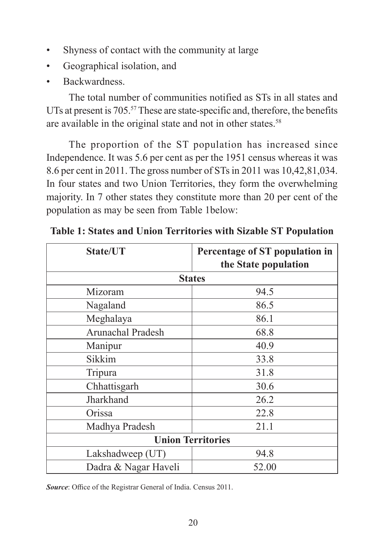- Shyness of contact with the community at large
- Geographical isolation, and
- Backwardness.

The total number of communities notified as STs in all states and UTs at present is 705.<sup>57</sup> These are state-specific and, therefore, the benefits are available in the original state and not in other states.<sup>58</sup>

The proportion of the ST population has increased since Independence. It was 5.6 per cent as per the 1951 census whereas it was 8.6 per cent in 2011. The gross number of STs in 2011 was 10,42,81,034. In four states and two Union Territories, they form the overwhelming majority. In 7 other states they constitute more than 20 per cent of the population as may be seen from Table 1below:

| State/UT                 | Percentage of ST population in |
|--------------------------|--------------------------------|
|                          | the State population           |
| <b>States</b>            |                                |
| Mizoram                  | 94.5                           |
| Nagaland                 | 86.5                           |
| Meghalaya                | 86.1                           |
| Arunachal Pradesh        | 68.8                           |
| Manipur                  | 40.9                           |
| Sikkim                   | 33.8                           |
| Tripura                  | 31.8                           |
| Chhattisgarh             | 30.6                           |
| Jharkhand                | 26.2                           |
| Orissa                   | 22.8                           |
| Madhya Pradesh           | 21.1                           |
| <b>Union Territories</b> |                                |
| Lakshadweep (UT)         | 94.8                           |
| Dadra & Nagar Haveli     | 52.00                          |

**Table 1: States and Union Territories with Sizable ST Population**

*Source*: Office of the Registrar General of India. Census 2011.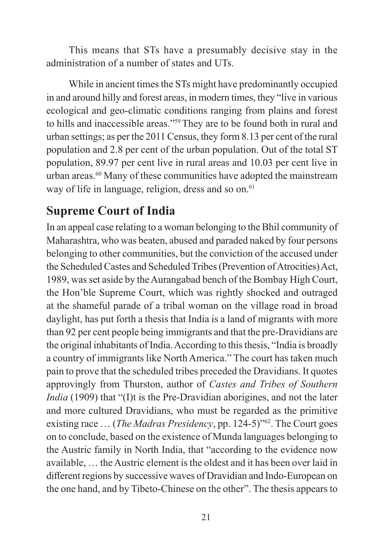This means that STs have a presumably decisive stay in the administration of a number of states and UTs.

While in ancient times the STs might have predominantly occupied in and around hilly and forest areas, in modern times, they "live in various ecological and geo-climatic conditions ranging from plains and forest to hills and inaccessible areas."59 They are to be found both in rural and urban settings; as per the 2011 Census, they form 8.13 per cent of the rural population and 2.8 per cent of the urban population. Out of the total ST population, 89.97 per cent live in rural areas and 10.03 per cent live in urban areas.<sup>60</sup> Many of these communities have adopted the mainstream way of life in language, religion, dress and so on.<sup>61</sup>

#### **Supreme Court of India**

In an appeal case relating to a woman belonging to the Bhil community of Maharashtra, who was beaten, abused and paraded naked by four persons belonging to other communities, but the conviction of the accused under the Scheduled Castes and Scheduled Tribes (Prevention of Atrocities) Act, 1989, was set aside by the Aurangabad bench of the Bombay High Court, the Hon'ble Supreme Court, which was rightly shocked and outraged at the shameful parade of a tribal woman on the village road in broad daylight, has put forth a thesis that India is a land of migrants with more than 92 per cent people being immigrants and that the pre-Dravidians are the original inhabitants of India. According to this thesis, "India is broadly a country of immigrants like North America." The court has taken much pain to prove that the scheduled tribes preceded the Dravidians. It quotes approvingly from Thurston, author of *Castes and Tribes of Southern India* (1909) that "(I)t is the Pre-Dravidian aborigines, and not the later and more cultured Dravidians, who must be regarded as the primitive existing race … (*The Madras Presidency*, pp. 124-5)"<sup>62</sup>. The Court goes on to conclude, based on the existence of Munda languages belonging to the Austric family in North India, that "according to the evidence now available, … the Austric element is the oldest and it has been over laid in different regions by successive waves of Dravidian and Indo-European on the one hand, and by Tibeto-Chinese on the other". The thesis appears to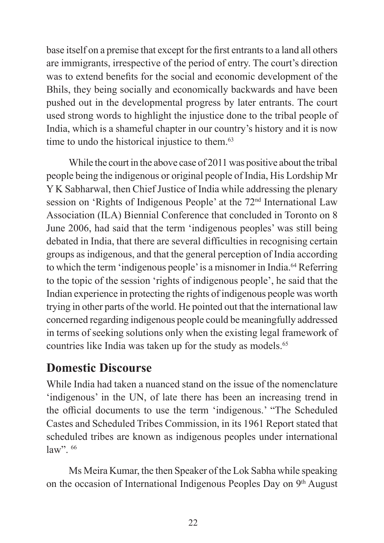base itself on a premise that except for the first entrants to a land all others are immigrants, irrespective of the period of entry. The court's direction was to extend benefits for the social and economic development of the Bhils, they being socially and economically backwards and have been pushed out in the developmental progress by later entrants. The court used strong words to highlight the injustice done to the tribal people of India, which is a shameful chapter in our country's history and it is now time to undo the historical injustice to them.<sup>63</sup>

While the court in the above case of 2011 was positive about the tribal people being the indigenous or original people of India, His Lordship Mr Y K Sabharwal, then Chief Justice of India while addressing the plenary session on 'Rights of Indigenous People' at the 72<sup>nd</sup> International Law Association (ILA) Biennial Conference that concluded in Toronto on 8 June 2006, had said that the term 'indigenous peoples' was still being debated in India, that there are several difficulties in recognising certain groups as indigenous, and that the general perception of India according to which the term 'indigenous people' is a misnomer in India.<sup>64</sup> Referring to the topic of the session 'rights of indigenous people', he said that the Indian experience in protecting the rights of indigenous people was worth trying in other parts of the world. He pointed out that the international law concerned regarding indigenous people could be meaningfully addressed in terms of seeking solutions only when the existing legal framework of countries like India was taken up for the study as models.<sup>65</sup>

#### **Domestic Discourse**

While India had taken a nuanced stand on the issue of the nomenclature 'indigenous' in the UN, of late there has been an increasing trend in the official documents to use the term 'indigenous.' "The Scheduled Castes and Scheduled Tribes Commission, in its 1961 Report stated that scheduled tribes are known as indigenous peoples under international law". 66

Ms Meira Kumar, the then Speaker of the Lok Sabha while speaking on the occasion of International Indigenous Peoples Day on 9th August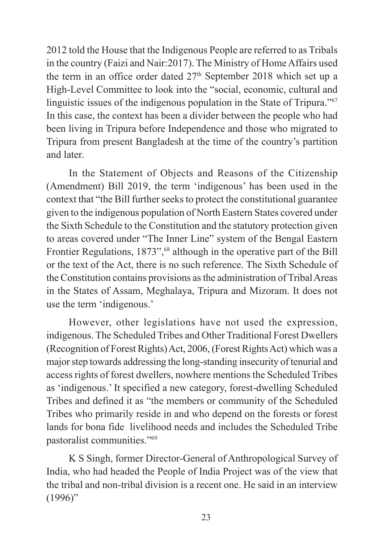2012 told the House that the Indigenous People are referred to as Tribals in the country (Faizi and Nair:2017). The Ministry of Home Affairs used the term in an office order dated  $27<sup>th</sup>$  September 2018 which set up a High-Level Committee to look into the "social, economic, cultural and linguistic issues of the indigenous population in the State of Tripura."<sup>67</sup> In this case, the context has been a divider between the people who had been living in Tripura before Independence and those who migrated to Tripura from present Bangladesh at the time of the country's partition and later.

In the Statement of Objects and Reasons of the Citizenship (Amendment) Bill 2019, the term 'indigenous' has been used in the context that "the Bill further seeks to protect the constitutional guarantee given to the indigenous population of North Eastern States covered under the Sixth Schedule to the Constitution and the statutory protection given to areas covered under "The Inner Line" system of the Bengal Eastern Frontier Regulations, 1873",<sup>68</sup> although in the operative part of the Bill or the text of the Act, there is no such reference. The Sixth Schedule of the Constitution contains provisions as the administration of Tribal Areas in the States of Assam, Meghalaya, Tripura and Mizoram. It does not use the term 'indigenous.'

However, other legislations have not used the expression, indigenous. The Scheduled Tribes and Other Traditional Forest Dwellers (Recognition of Forest Rights) Act, 2006, (Forest Rights Act) which was a major step towards addressing the long-standing insecurity of tenurial and access rights of forest dwellers, nowhere mentions the Scheduled Tribes as 'indigenous.' It specified a new category, forest-dwelling Scheduled Tribes and defined it as "the members or community of the Scheduled Tribes who primarily reside in and who depend on the forests or forest lands for bona fide livelihood needs and includes the Scheduled Tribe pastoralist communities."<sup>69</sup>

K S Singh, former Director-General of Anthropological Survey of India, who had headed the People of India Project was of the view that the tribal and non-tribal division is a recent one. He said in an interview  $(1996)$ "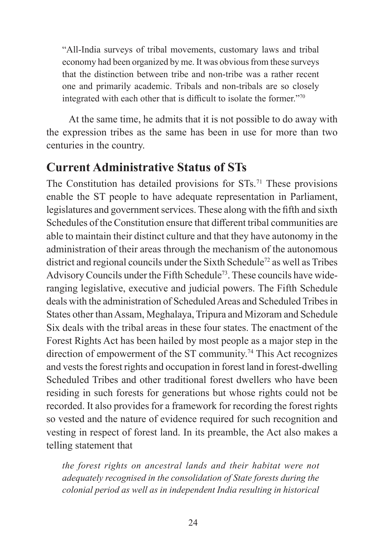"All-India surveys of tribal movements, customary laws and tribal economy had been organized by me. It was obvious from these surveys that the distinction between tribe and non-tribe was a rather recent one and primarily academic. Tribals and non-tribals are so closely integrated with each other that is difficult to isolate the former."<sup>70</sup>

At the same time, he admits that it is not possible to do away with the expression tribes as the same has been in use for more than two centuries in the country.

#### **Current Administrative Status of STs**

The Constitution has detailed provisions for  $STs$ .<sup>71</sup> These provisions enable the ST people to have adequate representation in Parliament, legislatures and government services. These along with the fifth and sixth Schedules of the Constitution ensure that different tribal communities are able to maintain their distinct culture and that they have autonomy in the administration of their areas through the mechanism of the autonomous district and regional councils under the Sixth Schedule<sup>72</sup> as well as Tribes Advisory Councils under the Fifth Schedule<sup>73</sup>. These councils have wideranging legislative, executive and judicial powers. The Fifth Schedule deals with the administration of Scheduled Areas and Scheduled Tribes in States other than Assam, Meghalaya, Tripura and Mizoram and Schedule Six deals with the tribal areas in these four states. The enactment of the Forest Rights Act has been hailed by most people as a major step in the direction of empowerment of the ST community.<sup>74</sup> This Act recognizes and vests the forest rights and occupation in forest land in forest-dwelling Scheduled Tribes and other traditional forest dwellers who have been residing in such forests for generations but whose rights could not be recorded. It also provides for a framework for recording the forest rights so vested and the nature of evidence required for such recognition and vesting in respect of forest land. In its preamble, the Act also makes a telling statement that

*the forest rights on ancestral lands and their habitat were not adequately recognised in the consolidation of State forests during the colonial period as well as in independent India resulting in historical*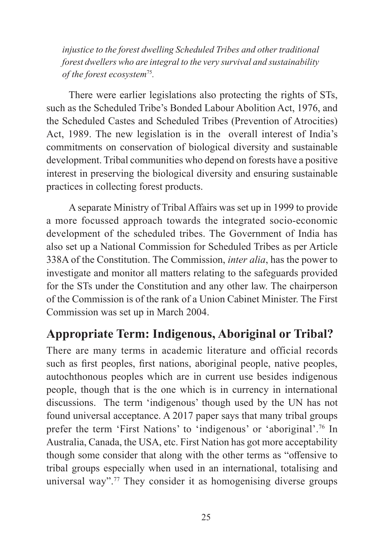*injustice to the forest dwelling Scheduled Tribes and other traditional forest dwellers who are integral to the very survival and sustainability of the forest ecosystem*<sup>75</sup>*.*

There were earlier legislations also protecting the rights of STs, such as the Scheduled Tribe's Bonded Labour Abolition Act, 1976, and the Scheduled Castes and Scheduled Tribes (Prevention of Atrocities) Act, 1989. The new legislation is in the overall interest of India's commitments on conservation of biological diversity and sustainable development. Tribal communities who depend on forests have a positive interest in preserving the biological diversity and ensuring sustainable practices in collecting forest products.

A separate Ministry of Tribal Affairs was set up in 1999 to provide a more focussed approach towards the integrated socio-economic development of the scheduled tribes. The Government of India has also set up a National Commission for Scheduled Tribes as per Article 338A of the Constitution. The Commission, *inter alia*, has the power to investigate and monitor all matters relating to the safeguards provided for the STs under the Constitution and any other law. The chairperson of the Commission is of the rank of a Union Cabinet Minister. The First Commission was set up in March 2004.

#### **Appropriate Term: Indigenous, Aboriginal or Tribal?**

There are many terms in academic literature and official records such as first peoples, first nations, aboriginal people, native peoples, autochthonous peoples which are in current use besides indigenous people, though that is the one which is in currency in international discussions. The term 'indigenous' though used by the UN has not found universal acceptance. A 2017 paper says that many tribal groups prefer the term 'First Nations' to 'indigenous' or 'aboriginal'.<sup>76</sup> In Australia, Canada, the USA, etc. First Nation has got more acceptability though some consider that along with the other terms as "offensive to tribal groups especially when used in an international, totalising and universal way".77 They consider it as homogenising diverse groups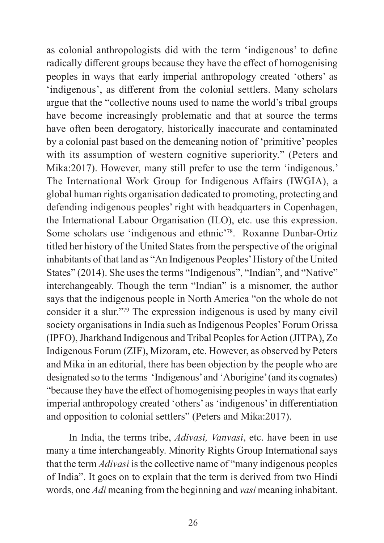as colonial anthropologists did with the term 'indigenous' to define radically different groups because they have the effect of homogenising peoples in ways that early imperial anthropology created 'others' as 'indigenous', as different from the colonial settlers. Many scholars argue that the "collective nouns used to name the world's tribal groups have become increasingly problematic and that at source the terms have often been derogatory, historically inaccurate and contaminated by a colonial past based on the demeaning notion of 'primitive' peoples with its assumption of western cognitive superiority." (Peters and Mika:2017). However, many still prefer to use the term 'indigenous.' The International Work Group for Indigenous Affairs (IWGIA), a global human rights organisation dedicated to promoting, protecting and defending indigenous peoples' right with headquarters in Copenhagen, the International Labour Organisation (ILO), etc. use this expression. Some scholars use 'indigenous and ethnic'<sup>78</sup>. Roxanne Dunbar-Ortiz titled her history of the United States from the perspective of the original inhabitants of that land as "An Indigenous Peoples' History of the United States" (2014). She uses the terms "Indigenous", "Indian", and "Native" interchangeably. Though the term "Indian" is a misnomer, the author says that the indigenous people in North America "on the whole do not consider it a slur."<sup>79</sup> The expression indigenous is used by many civil society organisations in India such as Indigenous Peoples' Forum Orissa (IPFO), Jharkhand Indigenous and Tribal Peoples for Action (JITPA), Zo Indigenous Forum (ZIF), Mizoram, etc. However, as observed by Peters and Mika in an editorial, there has been objection by the people who are designated so to the terms 'Indigenous' and 'Aborigine' (and its cognates) "because they have the effect of homogenising peoples in ways that early imperial anthropology created 'others' as 'indigenous' in differentiation and opposition to colonial settlers" (Peters and Mika:2017).

In India, the terms tribe, *Adivasi, Vanvasi*, etc. have been in use many a time interchangeably. Minority Rights Group International says that the term *Adivasi* is the collective name of "many indigenous peoples of India". It goes on to explain that the term is derived from two Hindi words, one *Adi* meaning from the beginning and *vasi* meaning inhabitant.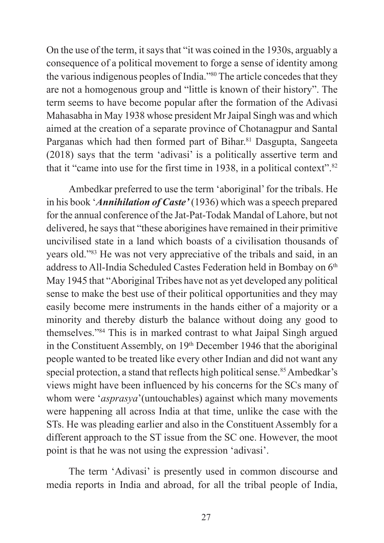On the use of the term, it says that "it was coined in the 1930s, arguably a consequence of a political movement to forge a sense of identity among the various indigenous peoples of India."<sup>80</sup> The article concedes that they are not a homogenous group and "little is known of their history". The term seems to have become popular after the formation of the Adivasi Mahasabha in May 1938 whose president Mr Jaipal Singh was and which aimed at the creation of a separate province of Chotanagpur and Santal Parganas which had then formed part of Bihar.<sup>81</sup> Dasgupta, Sangeeta (2018) says that the term 'adivasi' is a politically assertive term and that it "came into use for the first time in 1938, in a political context".<sup>82</sup>

Ambedkar preferred to use the term 'aboriginal' for the tribals. He in his book '*Annihilation of Caste'* (1936) which was a speech prepared for the annual conference of the Jat-Pat-Todak Mandal of Lahore, but not delivered, he says that "these aborigines have remained in their primitive uncivilised state in a land which boasts of a civilisation thousands of years old."<sup>83</sup> He was not very appreciative of the tribals and said, in an address to All-India Scheduled Castes Federation held in Bombay on 6<sup>th</sup> May 1945 that "Aboriginal Tribes have not as yet developed any political sense to make the best use of their political opportunities and they may easily become mere instruments in the hands either of a majority or a minority and thereby disturb the balance without doing any good to themselves."<sup>84</sup> This is in marked contrast to what Jaipal Singh argued in the Constituent Assembly, on 19th December 1946 that the aboriginal people wanted to be treated like every other Indian and did not want any special protection, a stand that reflects high political sense.<sup>85</sup> Ambedkar's views might have been influenced by his concerns for the SCs many of whom were '*asprasya*'(untouchables) against which many movements were happening all across India at that time, unlike the case with the STs. He was pleading earlier and also in the Constituent Assembly for a different approach to the ST issue from the SC one. However, the moot point is that he was not using the expression 'adivasi'.

The term 'Adivasi' is presently used in common discourse and media reports in India and abroad, for all the tribal people of India,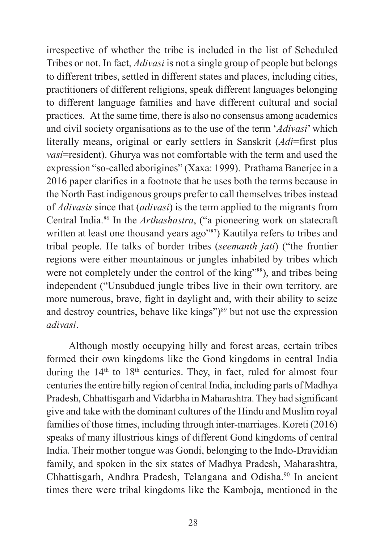irrespective of whether the tribe is included in the list of Scheduled Tribes or not. In fact, *Adivasi* is not a single group of people but belongs to different tribes, settled in different states and places, including cities, practitioners of different religions, speak different languages belonging to different language families and have different cultural and social practices. At the same time, there is also no consensus among academics and civil society organisations as to the use of the term '*Adivasi*' which literally means, original or early settlers in Sanskrit (*Adi*=first plus *vasi*=resident). Ghurya was not comfortable with the term and used the expression "so-called aborigines" (Xaxa: 1999). Prathama Banerjee in a 2016 paper clarifies in a footnote that he uses both the terms because in the North East indigenous groups prefer to call themselves tribes instead of *Adivasis* since that (*adivasi*) is the term applied to the migrants from Central India.86 In the *Arthashastra*, ("a pioneering work on statecraft written at least one thousand years ago"<sup>87</sup>) Kautilya refers to tribes and tribal people. He talks of border tribes (*seemanth jati*) ("the frontier regions were either mountainous or jungles inhabited by tribes which were not completely under the control of the king"<sup>88</sup>), and tribes being independent ("Unsubdued jungle tribes live in their own territory, are more numerous, brave, fight in daylight and, with their ability to seize and destroy countries, behave like kings")<sup>89</sup> but not use the expression *adivasi*.

Although mostly occupying hilly and forest areas, certain tribes formed their own kingdoms like the Gond kingdoms in central India during the  $14<sup>th</sup>$  to  $18<sup>th</sup>$  centuries. They, in fact, ruled for almost four centuries the entire hilly region of central India, including parts of Madhya Pradesh, Chhattisgarh and Vidarbha in Maharashtra. They had significant give and take with the dominant cultures of the Hindu and Muslim royal families of those times, including through inter-marriages. Koreti (2016) speaks of many illustrious kings of different Gond kingdoms of central India. Their mother tongue was Gondi, belonging to the Indo-Dravidian family, and spoken in the six states of Madhya Pradesh, Maharashtra, Chhattisgarh, Andhra Pradesh, Telangana and Odisha.<sup>90</sup> In ancient times there were tribal kingdoms like the Kamboja, mentioned in the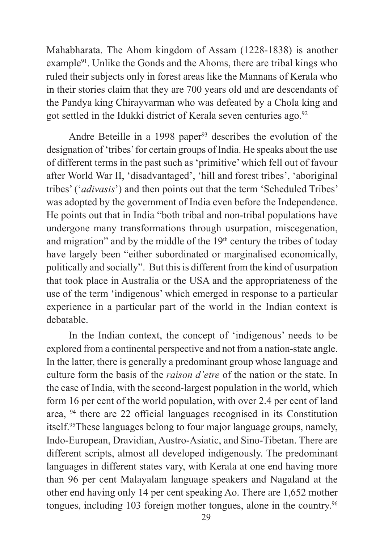Mahabharata. The Ahom kingdom of Assam (1228-1838) is another example<sup>91</sup>. Unlike the Gonds and the Ahoms, there are tribal kings who ruled their subjects only in forest areas like the Mannans of Kerala who in their stories claim that they are 700 years old and are descendants of the Pandya king Chirayvarman who was defeated by a Chola king and got settled in the Idukki district of Kerala seven centuries ago.<sup>92</sup>

Andre Beteille in a 1998 paper<sup>93</sup> describes the evolution of the designation of 'tribes' for certain groups of India. He speaks about the use of different terms in the past such as 'primitive' which fell out of favour after World War II, 'disadvantaged', 'hill and forest tribes', 'aboriginal tribes' ('*adivasis*') and then points out that the term 'Scheduled Tribes' was adopted by the government of India even before the Independence. He points out that in India "both tribal and non-tribal populations have undergone many transformations through usurpation, miscegenation, and migration" and by the middle of the  $19<sup>th</sup>$  century the tribes of today have largely been "either subordinated or marginalised economically, politically and socially". But this is different from the kind of usurpation that took place in Australia or the USA and the appropriateness of the use of the term 'indigenous' which emerged in response to a particular experience in a particular part of the world in the Indian context is debatable.

In the Indian context, the concept of 'indigenous' needs to be explored from a continental perspective and not from a nation-state angle. In the latter, there is generally a predominant group whose language and culture form the basis of the *raison d'etre* of the nation or the state. In the case of India, with the second-largest population in the world, which form 16 per cent of the world population, with over 2.4 per cent of land area, 94 there are 22 official languages recognised in its Constitution itself.95These languages belong to four major language groups, namely, Indo-European, Dravidian, Austro-Asiatic, and Sino-Tibetan. There are different scripts, almost all developed indigenously. The predominant languages in different states vary, with Kerala at one end having more than 96 per cent Malayalam language speakers and Nagaland at the other end having only 14 per cent speaking Ao. There are 1,652 mother tongues, including 103 foreign mother tongues, alone in the country.96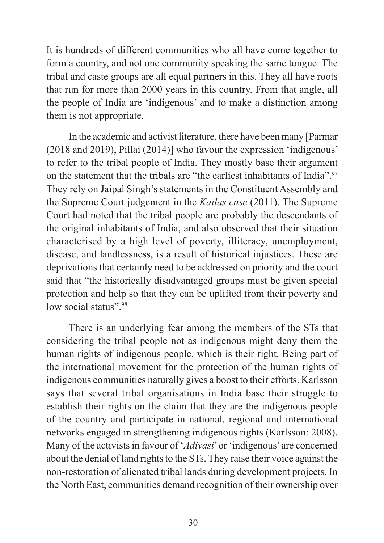It is hundreds of different communities who all have come together to form a country, and not one community speaking the same tongue. The tribal and caste groups are all equal partners in this. They all have roots that run for more than 2000 years in this country. From that angle, all the people of India are 'indigenous' and to make a distinction among them is not appropriate.

In the academic and activist literature, there have been many [Parmar (2018 and 2019), Pillai (2014)] who favour the expression 'indigenous' to refer to the tribal people of India. They mostly base their argument on the statement that the tribals are "the earliest inhabitants of India".<sup>97</sup> They rely on Jaipal Singh's statements in the Constituent Assembly and the Supreme Court judgement in the *Kailas case* (2011). The Supreme Court had noted that the tribal people are probably the descendants of the original inhabitants of India, and also observed that their situation characterised by a high level of poverty, illiteracy, unemployment, disease, and landlessness, is a result of historical injustices. These are deprivations that certainly need to be addressed on priority and the court said that "the historically disadvantaged groups must be given special protection and help so that they can be uplifted from their poverty and low social status".<sup>98</sup>

There is an underlying fear among the members of the STs that considering the tribal people not as indigenous might deny them the human rights of indigenous people, which is their right. Being part of the international movement for the protection of the human rights of indigenous communities naturally gives a boost to their efforts. Karlsson says that several tribal organisations in India base their struggle to establish their rights on the claim that they are the indigenous people of the country and participate in national, regional and international networks engaged in strengthening indigenous rights (Karlsson: 2008). Many of the activists in favour of '*Adivasi*' or 'indigenous' are concerned about the denial of land rights to the STs. They raise their voice against the non-restoration of alienated tribal lands during development projects. In the North East, communities demand recognition of their ownership over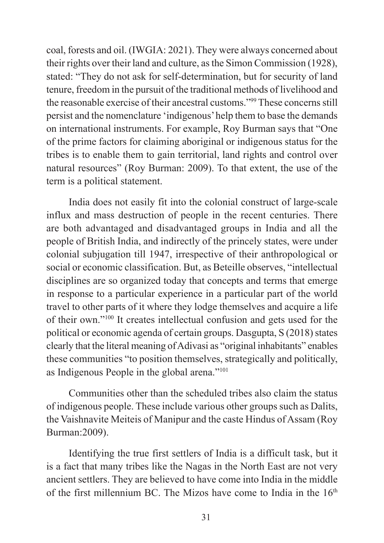coal, forests and oil. (IWGIA: 2021). They were always concerned about their rights over their land and culture, as the Simon Commission (1928), stated: "They do not ask for self-determination, but for security of land tenure, freedom in the pursuit of the traditional methods of livelihood and the reasonable exercise of their ancestral customs."<sup>99</sup> These concerns still persist and the nomenclature 'indigenous' help them to base the demands on international instruments. For example, Roy Burman says that "One of the prime factors for claiming aboriginal or indigenous status for the tribes is to enable them to gain territorial, land rights and control over natural resources" (Roy Burman: 2009). To that extent, the use of the term is a political statement.

India does not easily fit into the colonial construct of large-scale influx and mass destruction of people in the recent centuries. There are both advantaged and disadvantaged groups in India and all the people of British India, and indirectly of the princely states, were under colonial subjugation till 1947, irrespective of their anthropological or social or economic classification. But, as Beteille observes, "intellectual disciplines are so organized today that concepts and terms that emerge in response to a particular experience in a particular part of the world travel to other parts of it where they lodge themselves and acquire a life of their own."<sup>100</sup> It creates intellectual confusion and gets used for the political or economic agenda of certain groups. Dasgupta, S (2018) states clearly that the literal meaning of Adivasi as "original inhabitants" enables these communities "to position themselves, strategically and politically, as Indigenous People in the global arena."<sup>101</sup>

Communities other than the scheduled tribes also claim the status of indigenous people. These include various other groups such as Dalits, the Vaishnavite Meiteis of Manipur and the caste Hindus of Assam (Roy Burman:2009).

Identifying the true first settlers of India is a difficult task, but it is a fact that many tribes like the Nagas in the North East are not very ancient settlers. They are believed to have come into India in the middle of the first millennium BC. The Mizos have come to India in the 16<sup>th</sup>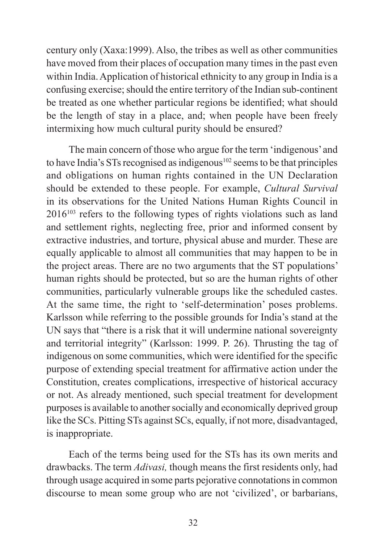century only (Xaxa:1999). Also, the tribes as well as other communities have moved from their places of occupation many times in the past even within India. Application of historical ethnicity to any group in India is a confusing exercise; should the entire territory of the Indian sub-continent be treated as one whether particular regions be identified; what should be the length of stay in a place, and; when people have been freely intermixing how much cultural purity should be ensured?

The main concern of those who argue for the term 'indigenous' and to have India's STs recognised as indigenous<sup>102</sup> seems to be that principles and obligations on human rights contained in the UN Declaration should be extended to these people. For example, *Cultural Survival* in its observations for the United Nations Human Rights Council in  $2016<sup>103</sup>$  refers to the following types of rights violations such as land and settlement rights, neglecting free, prior and informed consent by extractive industries, and torture, physical abuse and murder. These are equally applicable to almost all communities that may happen to be in the project areas. There are no two arguments that the ST populations' human rights should be protected, but so are the human rights of other communities, particularly vulnerable groups like the scheduled castes. At the same time, the right to 'self-determination' poses problems. Karlsson while referring to the possible grounds for India's stand at the UN says that "there is a risk that it will undermine national sovereignty and territorial integrity" (Karlsson: 1999. P. 26). Thrusting the tag of indigenous on some communities, which were identified for the specific purpose of extending special treatment for affirmative action under the Constitution, creates complications, irrespective of historical accuracy or not. As already mentioned, such special treatment for development purposes is available to another socially and economically deprived group like the SCs. Pitting STs against SCs, equally, if not more, disadvantaged, is inappropriate.

Each of the terms being used for the STs has its own merits and drawbacks. The term *Adivasi,* though means the first residents only, had through usage acquired in some parts pejorative connotations in common discourse to mean some group who are not 'civilized', or barbarians,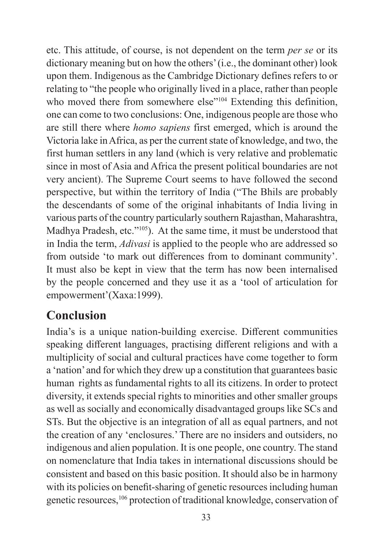etc. This attitude, of course, is not dependent on the term *per se* or its dictionary meaning but on how the others' (i.e., the dominant other) look upon them. Indigenous as the Cambridge Dictionary defines refers to or relating to "the people who originally lived in a place, rather than people who moved there from somewhere else<sup>"104</sup> Extending this definition, one can come to two conclusions: One, indigenous people are those who are still there where *homo sapiens* first emerged, which is around the Victoria lake in Africa, as per the current state of knowledge, and two, the first human settlers in any land (which is very relative and problematic since in most of Asia and Africa the present political boundaries are not very ancient). The Supreme Court seems to have followed the second perspective, but within the territory of India ("The Bhils are probably the descendants of some of the original inhabitants of India living in various parts of the country particularly southern Rajasthan, Maharashtra, Madhya Pradesh, etc."<sup>105</sup>). At the same time, it must be understood that in India the term, *Adivasi* is applied to the people who are addressed so from outside 'to mark out differences from to dominant community'. It must also be kept in view that the term has now been internalised by the people concerned and they use it as a 'tool of articulation for empowerment'(Xaxa:1999).

#### **Conclusion**

India's is a unique nation-building exercise. Different communities speaking different languages, practising different religions and with a multiplicity of social and cultural practices have come together to form a 'nation' and for which they drew up a constitution that guarantees basic human rights as fundamental rights to all its citizens. In order to protect diversity, it extends special rights to minorities and other smaller groups as well as socially and economically disadvantaged groups like SCs and STs. But the objective is an integration of all as equal partners, and not the creation of any 'enclosures.' There are no insiders and outsiders, no indigenous and alien population. It is one people, one country. The stand on nomenclature that India takes in international discussions should be consistent and based on this basic position. It should also be in harmony with its policies on benefit-sharing of genetic resources including human genetic resources,106 protection of traditional knowledge, conservation of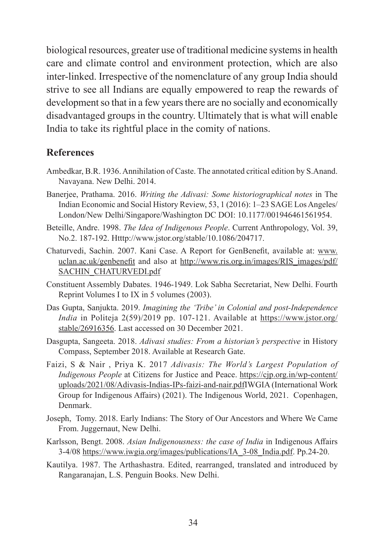biological resources, greater use of traditional medicine systems in health care and climate control and environment protection, which are also inter-linked. Irrespective of the nomenclature of any group India should strive to see all Indians are equally empowered to reap the rewards of development so that in a few years there are no socially and economically disadvantaged groups in the country. Ultimately that is what will enable India to take its rightful place in the comity of nations.

#### **References**

- Ambedkar, B.R. 1936. Annihilation of Caste. The annotated critical edition by S.Anand. Navayana. New Delhi. 2014.
- Banerjee, Prathama. 2016. *Writing the Adivasi: Some historiographical notes* in The Indian Economic and Social History Review, 53, 1 (2016): 1–23 SAGE Los Angeles/ London/New Delhi/Singapore/Washington DC DOI: 10.1177/001946461561954.
- Beteille, Andre. 1998. *The Idea of Indigenous People*. Current Anthropology, Vol. 39, No.2. 187-192. Htttp://www.jstor.org/stable/10.1086/204717.
- Chaturvedi, Sachin. 2007. Kani Case. A Report for GenBenefit, available at: www. uclan.ac.uk/genbenefit and also at http://www.ris.org.in/images/RIS\_images/pdf/ SACHIN\_CHATURVEDI.pdf
- Constituent Assembly Dabates. 1946-1949. Lok Sabha Secretariat, New Delhi. Fourth Reprint Volumes I to IX in 5 volumes (2003).
- Das Gupta, Sanjukta. 2019. *Imagining the 'Tribe' in Colonial and post-Independence India* in Politeja 2(59)/2019 pp. 107-121. Available at https://www.jstor.org/ stable/26916356. Last accessed on 30 December 2021.
- Dasgupta, Sangeeta. 2018. *Adivasi studies: From a historian's perspective* in History Compass, September 2018. Available at Research Gate.
- Faizi, S & Nair , Priya K. 2017 *Adivasis: The World's Largest Population of Indigenous People* at Citizens for Justice and Peace. https://cjp.org.in/wp-content/ uploads/2021/08/Adivasis-Indias-IPs-faizi-and-nair.pdfIWGIA (International Work Group for Indigenous Affairs) (2021). The Indigenous World, 2021. Copenhagen, Denmark.
- Joseph, Tomy. 2018. Early Indians: The Story of Our Ancestors and Where We Came From. Juggernaut, New Delhi.
- Karlsson, Bengt. 2008. *Asian Indigenousness: the case of India* in Indigenous Affairs 3-4/08 https://www.iwgia.org/images/publications/IA\_3-08\_India.pdf. Pp.24-20.
- Kautilya. 1987. The Arthashastra. Edited, rearranged, translated and introduced by Rangaranajan, L.S. Penguin Books. New Delhi.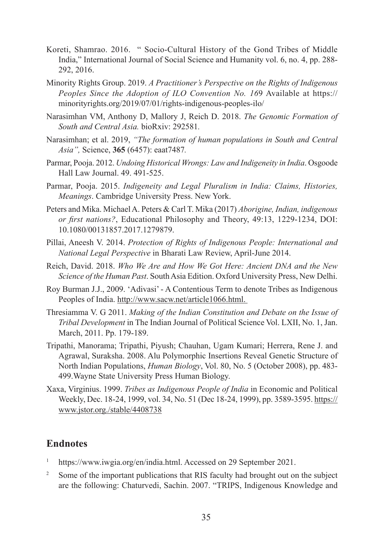- Koreti, Shamrao. 2016. " Socio-Cultural History of the Gond Tribes of Middle India," International Journal of Social Science and Humanity vol. 6, no. 4, pp. 288- 292, 2016.
- Minority Rights Group. 2019. *A Practitioner's Perspective on the Rights of Indigenous Peoples Since the Adoption of ILO Convention No. 16*9 Available at https:// minorityrights.org/2019/07/01/rights-indigenous-peoples-ilo/
- Narasimhan VM, Anthony D, Mallory J, Reich D. 2018. *The Genomic Formation of South and Central Asia.* bioRxiv: 292581*.*
- Narasimhan; et al. 2019, *"The formation of human populations in South and Central Asia",* Science, **365** (6457): eaat7487*.*
- Parmar, Pooja. 2012. *Undoing Historical Wrongs: Law and Indigeneity in India*. Osgoode Hall Law Journal. 49. 491-525.
- Parmar, Pooja. 2015. *Indigeneity and Legal Pluralism in India: Claims, Histories, Meanings*. Cambridge University Press. New York.
- Peters and Mika. Michael A. Peters & Carl T. Mika (2017) *Aborigine, Indian, indigenous or first nations?*, Educational Philosophy and Theory, 49:13, 1229-1234, DOI: 10.1080/00131857.2017.1279879.
- Pillai, Aneesh V. 2014. *Protection of Rights of Indigenous People: International and National Legal Perspective* in Bharati Law Review, April-June 2014.
- Reich, David. 2018. *Who We Are and How We Got Here: Ancient DNA and the New Science of the Human Past*. South Asia Edition. Oxford University Press, New Delhi.
- Roy Burman J.J., 2009. 'Adivasi' A Contentious Term to denote Tribes as Indigenous Peoples of India. http://www.sacw.net/article1066.html.
- Thresiamma V. G 2011. *Making of the Indian Constitution and Debate on the Issue of Tribal Development* in The Indian Journal of Political Science Vol. LXII, No. 1, Jan. March, 2011. Pp. 179-189.
- Tripathi, Manorama; Tripathi, Piyush; Chauhan, Ugam Kumari; Herrera, Rene J. and Agrawal, Suraksha. 2008. Alu Polymorphic Insertions Reveal Genetic Structure of North Indian Populations, *Human Biology*, Vol. 80, No. 5 (October 2008), pp. 483- 499.Wayne State University Press Human Biology.
- Xaxa, Virginius. 1999. *Tribes as Indigenous People of India* in Economic and Political Weekly, Dec. 18-24, 1999, vol. 34, No. 51 (Dec 18-24, 1999), pp. 3589-3595. https:// www.jstor.org./stable/4408738

#### **Endnotes**

- https://www.iwgia.org/en/india.html. Accessed on 29 September 2021.
- <sup>2</sup> Some of the important publications that RIS faculty had brought out on the subject are the following: Chaturvedi, Sachin. 2007. "TRIPS, Indigenous Knowledge and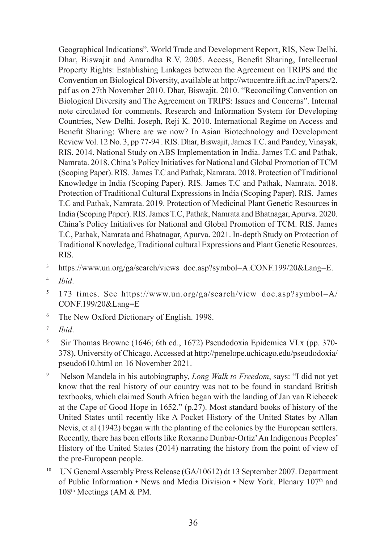Geographical Indications". World Trade and Development Report, RIS, New Delhi. Dhar, Biswajit and Anuradha R.V. 2005. Access, Benefit Sharing, Intellectual Property Rights: Establishing Linkages between the Agreement on TRIPS and the Convention on Biological Diversity, available at http://wtocentre.iift.ac.in/Papers/2. pdf as on 27th November 2010. Dhar, Biswajit. 2010. "Reconciling Convention on Biological Diversity and The Agreement on TRIPS: Issues and Concerns". Internal note circulated for comments, Research and Information System for Developing Countries, New Delhi. Joseph, Reji K. 2010. International Regime on Access and Benefit Sharing: Where are we now? In Asian Biotechnology and Development Review Vol. 12 No. 3, pp 77-94 . RIS. Dhar, Biswajit, James T.C. and Pandey, Vinayak, RIS. 2014. National Study on ABS Implementation in India. James T.C and Pathak, Namrata. 2018. China's Policy Initiatives for National and Global Promotion of TCM (Scoping Paper). RIS. James T.C and Pathak, Namrata. 2018. Protection of Traditional Knowledge in India (Scoping Paper). RIS. James T.C and Pathak, Namrata. 2018. Protection of Traditional Cultural Expressions in India (Scoping Paper). RIS. James T.C and Pathak, Namrata. 2019. Protection of Medicinal Plant Genetic Resources in India (Scoping Paper). RIS. James T.C, Pathak, Namrata and Bhatnagar, Apurva. 2020. China's Policy Initiatives for National and Global Promotion of TCM. RIS. James T.C, Pathak, Namrata and Bhatnagar, Apurva. 2021. In-depth Study on Protection of Traditional Knowledge, Traditional cultural Expressions and Plant Genetic Resources. RIS.

- <sup>3</sup> https://www.un.org/ga/search/views\_doc.asp?symbol=A.CONF.199/20&Lang=E.
- <sup>4</sup> *Ibid*.
- $5$  173 times. See https://www.un.org/ga/search/view doc.asp?symbol=A/ CONF.199/20&Lang=E
- <sup>6</sup> The New Oxford Dictionary of English. 1998.
- <sup>7</sup> *Ibid*.
- <sup>8</sup> Sir Thomas Browne (1646; 6th ed., 1672) Pseudodoxia Epidemica VI.x (pp. 370- 378), University of Chicago. Accessed at http://penelope.uchicago.edu/pseudodoxia/ pseudo610.html on 16 November 2021.
- <sup>9</sup> Nelson Mandela in his autobiography, *Long Walk to Freedom*, says: "I did not yet know that the real history of our country was not to be found in standard British textbooks, which claimed South Africa began with the landing of Jan van Riebeeck at the Cape of Good Hope in 1652." (p.27). Most standard books of history of the United States until recently like A Pocket History of the United States by Allan Nevis, et al (1942) began with the planting of the colonies by the European settlers. Recently, there has been efforts like Roxanne Dunbar-Ortiz' An Indigenous Peoples' History of the United States (2014) narrating the history from the point of view of the pre-European people.
- <sup>10</sup> UN General Assembly Press Release (GA/10612) dt 13 September 2007. Department of Public Information • News and Media Division • New York. Plenary 107<sup>th</sup> and 108th Meetings (AM & PM.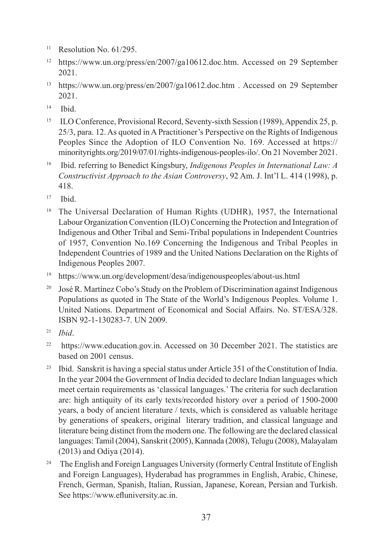- $11$  Resolution No. 61/295.
- <sup>12</sup> https://www.un.org/press/en/2007/ga10612.doc.htm. Accessed on 29 September 2021.
- <sup>13</sup> https://www.un.org/press/en/2007/ga10612.doc.htm . Accessed on 29 September 2021.
- $14$  Ibid.
- <sup>15</sup> ILO Conference, Provisional Record, Seventy-sixth Session (1989), Appendix 25, p. 25/3, para. 12. As quoted in A Practitioner's Perspective on the Rights of Indigenous Peoples Since the Adoption of ILO Convention No. 169. Accessed at https:// minorityrights.org/2019/07/01/rights-indigenous-peoples-ilo/. On 21 November 2021.
- <sup>16</sup> Ibid. referring to Benedict Kingsbury, *Indigenous Peoples in International Law: A Constructivist Approach to the Asian Controversy*, 92 Am. J. Int'l L. 414 (1998), p. 418.
- $17$  Ibid.
- <sup>18</sup> The Universal Declaration of Human Rights (UDHR), 1957, the International Labour Organization Convention (ILO) Concerning the Protection and Integration of Indigenous and Other Tribal and Semi-Tribal populations in Independent Countries of 1957, Convention No.169 Concerning the Indigenous and Tribal Peoples in Independent Countries of 1989 and the United Nations Declaration on the Rights of Indigenous Peoples 2007.
- <sup>19</sup> https://www.un.org/development/desa/indigenouspeoples/about-us.html
- <sup>20</sup> José R. Martínez Cobo's Study on the Problem of Discrimination against Indigenous Populations as quoted in The State of the World's Indigenous Peoples. Volume 1. United Nations. Department of Economical and Social Affairs. No. ST/ESA/328. ISBN 92-1-130283-7. UN 2009.
- <sup>21</sup> *Ibid*.
- $22$  https://www.education.gov.in. Accessed on 30 December 2021. The statistics are based on 2001 census.
- <sup>23</sup> Ibid. Sanskrit is having a special status under Article 351 of the Constitution of India. In the year 2004 the Government of India decided to declare Indian languages which meet certain requirements as 'classical languages.' The criteria for such declaration are: high antiquity of its early texts/recorded history over a period of 1500-2000 years, a body of ancient literature / texts, which is considered as valuable heritage by generations of speakers, original literary tradition, and classical language and literature being distinct from the modern one. The following are the declared classical languages: Tamil (2004), Sanskrit (2005), Kannada (2008), Telugu (2008), Malayalam (2013) and Odiya (2014).
- <sup>24</sup> The English and Foreign Languages University (formerly Central Institute of English and Foreign Languages), Hyderabad has programmes in English, Arabic, Chinese, French, German, Spanish, Italian, Russian, Japanese, Korean, Persian and Turkish. See https://www.efluniversity.ac.in.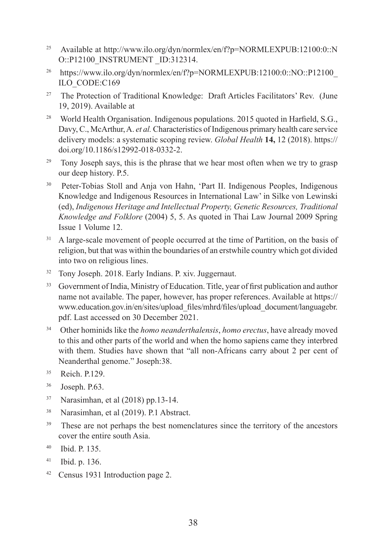- <sup>25</sup> Available at http://www.ilo.org/dyn/normlex/en/f?p=NORMLEXPUB:12100:0::N O::P12100\_INSTRUMENT\_ID:312314.
- <sup>26</sup> https://www.ilo.org/dyn/normlex/en/f?p=NORMLEXPUB:12100:0::NO::P12100\_ ILO\_CODE:C169
- <sup>27</sup> The Protection of Traditional Knowledge: Draft Articles Facilitators' Rev. (June 19, 2019). Available at
- <sup>28</sup> World Health Organisation. Indigenous populations. 2015 quoted in Harfield, S.G., Davy, C., McArthur, A. *et al.* Characteristics of Indigenous primary health care service delivery models: a systematic scoping review. *Global Health* **14,** 12 (2018). https:// doi.org/10.1186/s12992-018-0332-2.
- <sup>29</sup> Tony Joseph says, this is the phrase that we hear most often when we try to grasp our deep history. P.5.
- <sup>30</sup> Peter-Tobias Stoll and Anja von Hahn, 'Part II. Indigenous Peoples, Indigenous Knowledge and Indigenous Resources in International Law' in Silke von Lewinski (ed), *Indigenous Heritage and Intellectual Property, Genetic Resources, Traditional Knowledge and Folklore* (2004) 5, 5. As quoted in Thai Law Journal 2009 Spring Issue 1 Volume 12.
- <sup>31</sup> A large-scale movement of people occurred at the time of Partition, on the basis of religion, but that was within the boundaries of an erstwhile country which got divided into two on religious lines.
- <sup>32</sup> Tony Joseph. 2018. Early Indians. P. xiv. Juggernaut.
- <sup>33</sup> Government of India, Ministry of Education. Title, year of first publication and author name not available. The paper, however, has proper references. Available at https:// www.education.gov.in/en/sites/upload\_files/mhrd/files/upload\_document/languagebr. pdf. Last accessed on 30 December 2021.
- <sup>34</sup> Other hominids like the *homo neanderthalensis*, *homo erectus*, have already moved to this and other parts of the world and when the homo sapiens came they interbred with them. Studies have shown that "all non-Africans carry about 2 per cent of Neanderthal genome." Joseph:38.
- <sup>35</sup> Reich. P.129.
- <sup>36</sup> Joseph. P.63.
- $37$  Narasimhan, et al (2018) pp.13-14.
- <sup>38</sup> Narasimhan, et al (2019). P.1 Abstract.
- <sup>39</sup> These are not perhaps the best nomenclatures since the territory of the ancestors cover the entire south Asia.
- 40 Ibid. P. 135.
- 41 Ibid. p. 136.
- <sup>42</sup> Census 1931 Introduction page 2.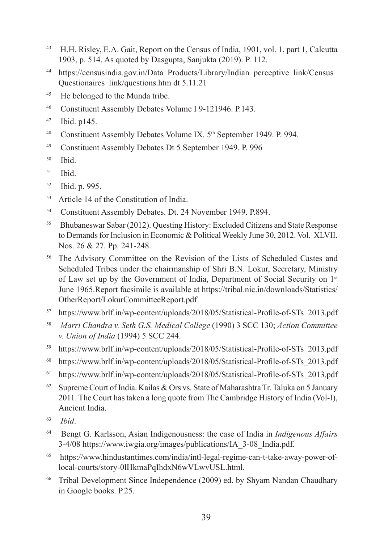- <sup>43</sup> H.H. Risley, E.A. Gait, Report on the Census of India, 1901, vol. 1, part 1, Calcutta 1903, p. 514. As quoted by Dasgupta, Sanjukta (2019). P. 112.
- <sup>44</sup> https://censusindia.gov.in/Data Products/Library/Indian perceptive link/Census Questionaires\_link/questions.htm dt 5.11.21
- <sup>45</sup> He belonged to the Munda tribe.
- 46 Constituent Assembly Debates Volume I 9-121946. P.143.
- 47 Ibid. p145.
- <sup>48</sup> Constituent Assembly Debates Volume IX. 5<sup>th</sup> September 1949. P. 994.
- <sup>49</sup> Constituent Assembly Debates Dt 5 September 1949. P. 996
- $50$  Ibid.
- $51$  Ibid.
- <sup>52</sup> Ibid. p. 995.
- <sup>53</sup> Article 14 of the Constitution of India.
- 54 Constituent Assembly Debates. Dt. 24 November 1949. P.894.
- <sup>55</sup> Bhubaneswar Sabar (2012). Questing History: Excluded Citizens and State Response to Demands for Inclusion in Economic & Political Weekly June 30, 2012. Vol. XLVII. Nos. 26 & 27. Pp. 241-248.
- <sup>56</sup> The Advisory Committee on the Revision of the Lists of Scheduled Castes and Scheduled Tribes under the chairmanship of Shri B.N. Lokur, Secretary, Ministry of Law set up by the Government of India, Department of Social Security on 1<sup>st</sup> June 1965.Report facsimile is available at https://tribal.nic.in/downloads/Statistics/ OtherReport/LokurCommitteeReport.pdf
- <sup>57</sup> https://www.brlf.in/wp-content/uploads/2018/05/Statistical-Profile-of-STs\_2013.pdf
- <sup>58</sup> *Marri Chandra v. Seth G.S. Medical College* (1990) 3 SCC 130; *Action Committee v. Union of India* (1994) 5 SCC 244.
- <sup>59</sup> https://www.brlf.in/wp-content/uploads/2018/05/Statistical-Profile-of-STs\_2013.pdf
- <sup>60</sup> https://www.brlf.in/wp-content/uploads/2018/05/Statistical-Profile-of-STs\_2013.pdf
- <sup>61</sup> https://www.brlf.in/wp-content/uploads/2018/05/Statistical-Profile-of-STs\_2013.pdf
- <sup>62</sup> Supreme Court of India. Kailas & Ors vs. State of Maharashtra Tr. Taluka on 5 January 2011. The Court has taken a long quote from The Cambridge History of India (Vol-I), Ancient India.
- <sup>63</sup> *Ibid*.
- <sup>64</sup> Bengt G. Karlsson, Asian Indigenousness: the case of India in *Indigenous Affairs* 3-4/08 https://www.iwgia.org/images/publications/IA\_3-08\_India.pdf.
- 65 https://www.hindustantimes.com/india/intl-legal-regime-can-t-take-away-power-oflocal-courts/story-0lHkmaPqIhdxN6wVLwvUSL.html.
- <sup>66</sup> Tribal Development Since Independence (2009) ed. by Shyam Nandan Chaudhary in Google books. P.25.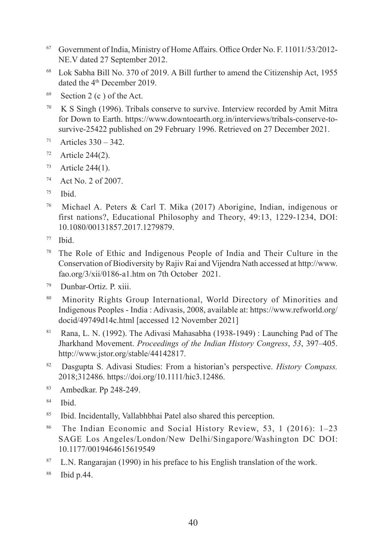- <sup>67</sup> Government of India, Ministry of Home Affairs. Office Order No. F. 11011/53/2012- NE.V dated 27 September 2012.
- <sup>68</sup> Lok Sabha Bill No. 370 of 2019. A Bill further to amend the Citizenship Act, 1955 dated the 4<sup>th</sup> December 2019.
- $69$  Section 2 (c) of the Act.
- 70 K S Singh (1996). Tribals conserve to survive. Interview recorded by Amit Mitra for Down to Earth. https://www.downtoearth.org.in/interviews/tribals-conserve-tosurvive-25422 published on 29 February 1996. Retrieved on 27 December 2021.
- $71$  Articles  $330 342$ .
- $72$  Article 244(2).
- $73$  Article 244(1).
- <sup>74</sup> Act No. 2 of 2007.
- $75$  Ibid.
- <sup>76</sup> Michael A. Peters & Carl T. Mika (2017) Aborigine, Indian, indigenous or first nations?, Educational Philosophy and Theory, 49:13, 1229-1234, DOI: 10.1080/00131857.2017.1279879.
- <sup>77</sup> Ibid.
- <sup>78</sup> The Role of Ethic and Indigenous People of India and Their Culture in the Conservation of Biodiversity by Rajiv Rai and Vijendra Nath accessed at http://www. fao.org/3/xii/0186-a1.htm on 7th October 2021.
- <sup>79</sup> Dunbar-Ortiz. P. xiii.
- 80 Minority Rights Group International, World Directory of Minorities and Indigenous Peoples - India : Adivasis, 2008, available at: https://www.refworld.org/ docid/49749d14c.html [accessed 12 November 2021]
- Rana, L. N. (1992). The Adivasi Mahasabha (1938-1949) : Launching Pad of The Jharkhand Movement. *Proceedings of the Indian History Congress*, *53*, 397–405. http://www.jstor.org/stable/44142817.
- <sup>82</sup> Dasgupta S. Adivasi Studies: From a historian's perspective. *History Compass.*  2018;312486. https://doi.org/10.1111/hic3.12486.
- <sup>83</sup> Ambedkar. Pp 248-249.
- <sup>84</sup> Ibid.
- <sup>85</sup> Ibid. Incidentally, Vallabhbhai Patel also shared this perception.
- <sup>86</sup> The Indian Economic and Social History Review, 53, 1 (2016): 1–23 SAGE Los Angeles/London/New Delhi/Singapore/Washington DC DOI: 10.1177/0019464615619549
- $87$  L.N. Rangarajan (1990) in his preface to his English translation of the work.
- 88 Ibid p.44.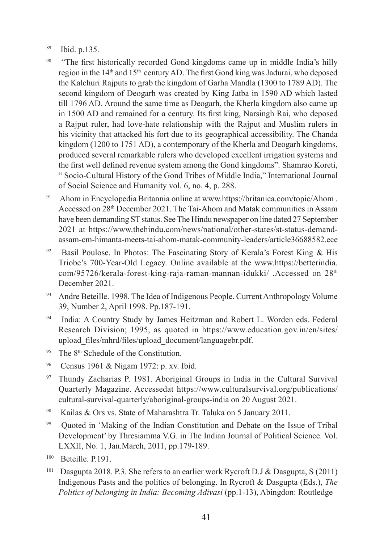- <sup>89</sup> Ibid. p.135.
- <sup>90</sup> "The first historically recorded Gond kingdoms came up in middle India's hilly region in the  $14<sup>th</sup>$  and  $15<sup>th</sup>$  century AD. The first Gond king was Jadurai, who deposed the Kalchuri Rajputs to grab the kingdom of Garha Mandla (1300 to 1789 AD). The second kingdom of Deogarh was created by King Jatba in 1590 AD which lasted till 1796 AD. Around the same time as Deogarh, the Kherla kingdom also came up in 1500 AD and remained for a century. Its first king, Narsingh Rai, who deposed a Rajput ruler, had love-hate relationship with the Rajput and Muslim rulers in his vicinity that attacked his fort due to its geographical accessibility. The Chanda kingdom (1200 to 1751 AD), a contemporary of the Kherla and Deogarh kingdoms, produced several remarkable rulers who developed excellent irrigation systems and the first well defined revenue system among the Gond kingdoms". Shamrao Koreti, " Socio-Cultural History of the Gond Tribes of Middle India," International Journal of Social Science and Humanity vol. 6, no. 4, p. 288.
- <sup>91</sup> Ahom in Encyclopedia Britannia online at www.https://britanica.com/topic/Ahom . Accessed on 28th December 2021. The Tai-Ahom and Matak communities in Assam have been demanding ST status. See The Hindu newspaper on line dated 27 September 2021 at https://www.thehindu.com/news/national/other-states/st-status-demandassam-cm-himanta-meets-tai-ahom-matak-community-leaders/article36688582.ece
- <sup>92</sup> Basil Poulose. In Photos: The Fascinating Story of Kerala's Forest King & His Triobe's 700-Year-Old Legacy. Online available at the www.https://betterindia. com/95726/kerala-forest-king-raja-raman-mannan-idukki/ .Accessed on  $28<sup>th</sup>$ December 2021.
- 93 Andre Beteille. 1998. The Idea of Indigenous People. Current Anthropology Volume 39, Number 2, April 1998. Pp.187-191.
- <sup>94</sup> India: A Country Study by James Heitzman and Robert L. Worden eds. Federal Research Division; 1995, as quoted in https://www.education.gov.in/en/sites/ upload\_files/mhrd/files/upload\_document/languagebr.pdf.
- $95$  The  $8<sup>th</sup>$  Schedule of the Constitution.
- <sup>96</sup> Census 1961 & Nigam 1972: p. xv. Ibid.
- <sup>97</sup> Thundy Zacharias P. 1981. Aboriginal Groups in India in the Cultural Survival Quarterly Magazine. Accessedat https://www.culturalsurvival.org/publications/ cultural-survival-quarterly/aboriginal-groups-india on 20 August 2021.
- 98 Kailas & Ors vs. State of Maharashtra Tr. Taluka on 5 January 2011.
- 99 Quoted in 'Making of the Indian Constitution and Debate on the Issue of Tribal Development' by Thresiamma V.G. in The Indian Journal of Political Science. Vol. LXXII, No. 1, Jan.March, 2011, pp.179-189.
- 100 Beteille. P.191.
- <sup>101</sup> Dasgupta 2018. P.3. She refers to an earlier work Rycroft D.J & Dasgupta, S (2011) Indigenous Pasts and the politics of belonging. In Rycroft & Dasgupta (Eds.), *The Politics of belonging in India: Becoming Adivasi* (pp.1-13), Abingdon: Routledge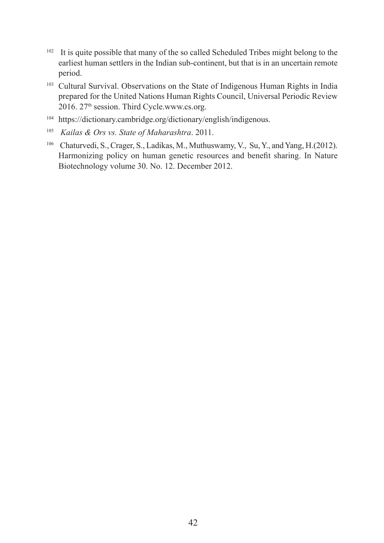- <sup>102</sup> It is quite possible that many of the so called Scheduled Tribes might belong to the earliest human settlers in the Indian sub-continent, but that is in an uncertain remote period.
- <sup>103</sup> Cultural Survival. Observations on the State of Indigenous Human Rights in India prepared for the United Nations Human Rights Council, Universal Periodic Review 2016. 27th session. Third Cycle.www.cs.org.
- <sup>104</sup> https://dictionary.cambridge.org/dictionary/english/indigenous.
- <sup>105</sup> *Kailas & Ors vs. State of Maharashtra*. 2011.
- <sup>106</sup> Chaturvedi, S., Crager, S., Ladikas, M., Muthuswamy, V., Su, Y., and Yang, H.(2012). Harmonizing policy on human genetic resources and benefit sharing. In Nature Biotechnology volume 30. No. 12. December 2012.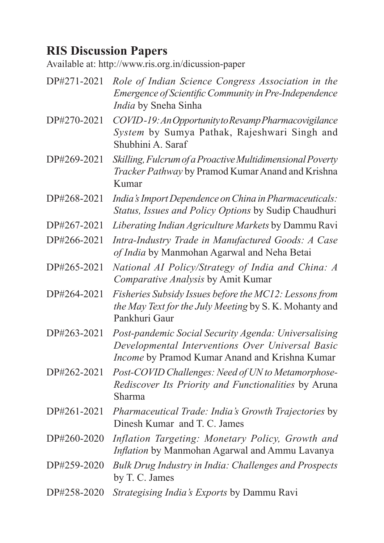#### **RIS Discussion Papers**

Available at: http://www.ris.org.in/dicussion-paper

DP#271-2021 *Role of Indian Science Congress Association in the Emergence of Scientific Community in Pre-Independence India* by Sneha Sinha DP#270-2021 *COVID -19: An Opportunity to Revamp Pharmacovigilance System* by Sumya Pathak, Rajeshwari Singh and Shubhini A. Saraf DP#269-2021 *Skilling, Fulcrum of a Proactive Multidimensional Poverty Tracker Pathway* by Pramod Kumar Anand and Krishna Kumar DP#268-2021 *India's Import Dependence on China in Pharmaceuticals: Status, Issues and Policy Options* by Sudip Chaudhuri DP#267-2021 *Liberating Indian Agriculture Markets* by Dammu Ravi DP#266-2021 *Intra-Industry Trade in Manufactured Goods: A Case of India* by Manmohan Agarwal and Neha Betai DP#265-2021 *National AI Policy/Strategy of India and China: A Comparative Analysis* by Amit Kumar DP#264-2021 *Fisheries Subsidy Issues before the MC12: Lessons from the May Text for the July Meeting* by S. K. Mohanty and Pankhuri Gaur DP#263-2021 *Post-pandemic Social Security Agenda: Universalising Developmental Interventions Over Universal Basic Income* by Pramod Kumar Anand and Krishna Kumar DP#262-2021 *Post-COVID Challenges: Need of UN to Metamorphose-Rediscover Its Priority and Functionalities* by Aruna Sharma DP#261-2021 *Pharmaceutical Trade: India's Growth Trajectories* by Dinesh Kumar and T. C. James DP#260-2020 *Inflation Targeting: Monetary Policy, Growth and Inflation* by Manmohan Agarwal and Ammu Lavanya DP#259-2020 *Bulk Drug Industry in India: Challenges and Prospects*  by T. C. James DP#258-2020 *Strategising India's Exports* by Dammu Ravi